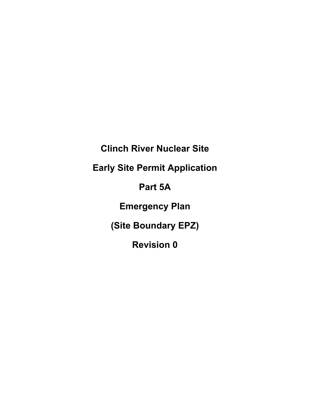**Clinch River Nuclear Site**

**Early Site Permit Application**

**Part 5A**

**Emergency Plan**

**(Site Boundary EPZ)**

**Revision 0**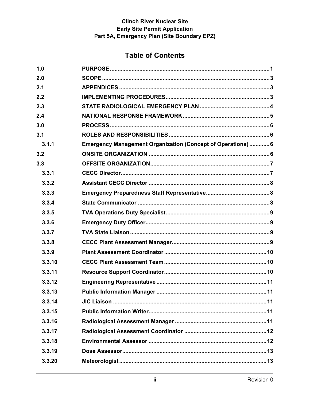# **Table of Contents**

| 1.0    |                                                              |
|--------|--------------------------------------------------------------|
| 2.0    |                                                              |
| 2.1    |                                                              |
| 2.2    |                                                              |
| 2.3    |                                                              |
| 2.4    |                                                              |
| 3.0    |                                                              |
| 3.1    |                                                              |
| 3.1.1  | Emergency Management Organization (Concept of Operations)  6 |
| 3.2    |                                                              |
| 3.3    |                                                              |
| 3.3.1  |                                                              |
| 3.3.2  |                                                              |
| 3.3.3  |                                                              |
| 3.3.4  |                                                              |
| 3.3.5  |                                                              |
| 3.3.6  |                                                              |
| 3.3.7  |                                                              |
| 3.3.8  |                                                              |
| 3.3.9  |                                                              |
| 3.3.10 |                                                              |
| 3.3.11 |                                                              |
| 3.3.12 |                                                              |
| 3.3.13 |                                                              |
| 3.3.14 |                                                              |
| 3.3.15 |                                                              |
| 3.3.16 |                                                              |
| 3.3.17 |                                                              |
| 3.3.18 |                                                              |
| 3.3.19 |                                                              |
| 3.3.20 |                                                              |
|        |                                                              |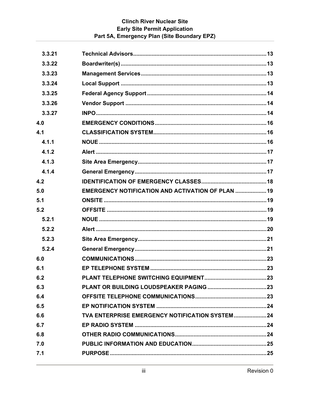# **Clinch River Nuclear Site Early Site Permit Application** Part 5A, Emergency Plan (Site Boundary EPZ)

| 3.3.21 |                                                   |  |
|--------|---------------------------------------------------|--|
| 3.3.22 |                                                   |  |
| 3.3.23 |                                                   |  |
| 3.3.24 |                                                   |  |
| 3.3.25 |                                                   |  |
| 3.3.26 |                                                   |  |
| 3.3.27 |                                                   |  |
| 4.0    |                                                   |  |
| 4.1    |                                                   |  |
| 4.1.1  |                                                   |  |
| 4.1.2  |                                                   |  |
| 4.1.3  |                                                   |  |
| 4.1.4  |                                                   |  |
| 4.2    |                                                   |  |
| 5.0    | EMERGENCY NOTIFICATION AND ACTIVATION OF PLAN  19 |  |
| 5.1    |                                                   |  |
| 5.2    |                                                   |  |
| 5.2.1  |                                                   |  |
| 5.2.2  |                                                   |  |
| 5.2.3  |                                                   |  |
|        |                                                   |  |
| 5.2.4  |                                                   |  |
| 6.0    |                                                   |  |
| 6.1    |                                                   |  |
| 6.2    |                                                   |  |
| 6.3    |                                                   |  |
| 6.4    |                                                   |  |
| 6.5    |                                                   |  |
| 6.6    |                                                   |  |
| 6.7    |                                                   |  |
| 6.8    |                                                   |  |
| 7.0    |                                                   |  |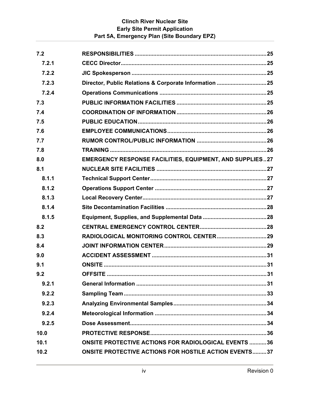# **Clinch River Nuclear Site Early Site Permit Application Part 5A, Emergency Plan (Site Boundary EPZ)**

| 7.2   |                                                                 |  |
|-------|-----------------------------------------------------------------|--|
| 7.2.1 |                                                                 |  |
| 7.2.2 |                                                                 |  |
| 7.2.3 |                                                                 |  |
| 7.2.4 |                                                                 |  |
| 7.3   |                                                                 |  |
| 7.4   |                                                                 |  |
| 7.5   |                                                                 |  |
| 7.6   |                                                                 |  |
| 7.7   |                                                                 |  |
| 7.8   |                                                                 |  |
| 8.0   | <b>EMERGENCY RESPONSE FACILITIES, EQUIPMENT, AND SUPPLIES27</b> |  |
| 8.1   |                                                                 |  |
| 8.1.1 |                                                                 |  |
| 8.1.2 |                                                                 |  |
| 8.1.3 |                                                                 |  |
| 8.1.4 |                                                                 |  |
| 8.1.5 |                                                                 |  |
| 8.2   |                                                                 |  |
| 8.3   |                                                                 |  |
| 8.4   |                                                                 |  |
| 9.0   |                                                                 |  |
| 9.1   |                                                                 |  |
| 9.2   | <b>OFFSITE.</b>                                                 |  |
| 9.2.1 |                                                                 |  |
| 9.2.2 |                                                                 |  |
| 9.2.3 |                                                                 |  |
| 9.2.4 |                                                                 |  |
| 9.2.5 |                                                                 |  |
| 10.0  |                                                                 |  |
| 10.1  | <b>ONSITE PROTECTIVE ACTIONS FOR RADIOLOGICAL EVENTS 36</b>     |  |
| 10.2  | <b>ONSITE PROTECTIVE ACTIONS FOR HOSTILE ACTION EVENTS37</b>    |  |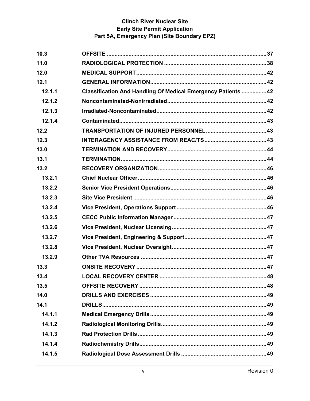# **Clinch River Nuclear Site Early Site Permit Application** Part 5A, Emergency Plan (Site Boundary EPZ)

| 10.3   |                                                               |  |
|--------|---------------------------------------------------------------|--|
| 11.0   |                                                               |  |
| 12.0   |                                                               |  |
| 12.1   |                                                               |  |
| 12.1.1 | Classification And Handling Of Medical Emergency Patients  42 |  |
| 12.1.2 |                                                               |  |
| 12.1.3 |                                                               |  |
| 12.1.4 |                                                               |  |
| 12.2   |                                                               |  |
| 12.3   |                                                               |  |
| 13.0   |                                                               |  |
| 13.1   |                                                               |  |
| 13.2   |                                                               |  |
| 13.2.1 |                                                               |  |
| 13.2.2 |                                                               |  |
| 13.2.3 |                                                               |  |
| 13.2.4 |                                                               |  |
| 13.2.5 |                                                               |  |
| 13.2.6 |                                                               |  |
| 13.2.7 |                                                               |  |
| 13.2.8 |                                                               |  |
| 13.2.9 |                                                               |  |
| 13.3   |                                                               |  |
| 13.4   |                                                               |  |
| 13.5   |                                                               |  |
| 14.0   |                                                               |  |
| 14.1   |                                                               |  |
| 14.1.1 |                                                               |  |
| 14.1.2 |                                                               |  |
| 14.1.3 |                                                               |  |
| 14.1.4 |                                                               |  |
| 14.1.5 |                                                               |  |
|        |                                                               |  |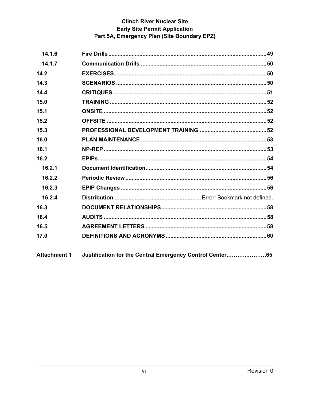# **Clinch River Nuclear Site Early Site Permit Application** Part 5A, Emergency Plan (Site Boundary EPZ)

| 14.1.6              |                                                          |  |
|---------------------|----------------------------------------------------------|--|
| 14.1.7              |                                                          |  |
| 14.2                |                                                          |  |
| 14.3                | SCENARIOS …………………………………………………………………………………………50           |  |
| 14.4                |                                                          |  |
| 15.0                |                                                          |  |
| 15.1                |                                                          |  |
| 15.2                |                                                          |  |
| 15.3                |                                                          |  |
| 16.0                |                                                          |  |
| 16.1                |                                                          |  |
| 16.2                |                                                          |  |
| 16.2.1              |                                                          |  |
| 16.2.2              |                                                          |  |
| 16.2.3              |                                                          |  |
| 16.2.4              |                                                          |  |
| 16.3                |                                                          |  |
| 16.4                |                                                          |  |
| 16.5                |                                                          |  |
| 17.0                |                                                          |  |
| <b>Attachment 1</b> | Justification for the Central Emergency Control Center65 |  |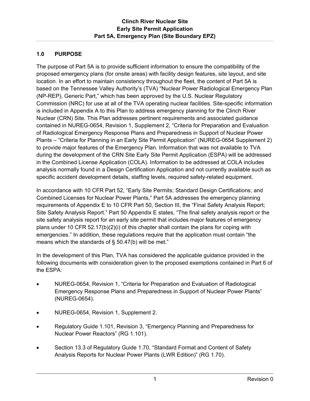# **1.0 PURPOSE**

The purpose of Part 5A is to provide sufficient information to ensure the compatibility of the proposed emergency plans (for onsite areas) with facility design features, site layout, and site location. In an effort to maintain consistency throughout the fleet, the content of Part 5A is based on the Tennessee Valley Authority's (TVA) "Nuclear Power Radiological Emergency Plan (NP-REP), Generic Part," which has been approved by the U.S. Nuclear Regulatory Commission (NRC) for use at all of the TVA operating nuclear facilities. Site-specific information is included in Appendix A to this Plan to address emergency planning for the Clinch River Nuclear (CRN) Site. This Plan addresses pertinent requirements and associated guidance contained in NUREG-0654, Revision 1, Supplement 2, "Criteria for Preparation and Evaluation of Radiological Emergency Response Plans and Preparedness in Support of Nuclear Power Plants – "Criteria for Planning in an Early Site Permit Application" (NUREG-0654 Supplement 2) to provide major features of the Emergency Plan. Information that was not available to TVA during the development of the CRN Site Early Site Permit Application (ESPA) will be addressed in the Combined License Application (COLA). Information to be addressed at COLA includes analysis normally found in a Design Certification Application and not currently available such as specific accident development details, staffing levels, required safety-related equipment.

In accordance with 10 CFR Part 52, "Early Site Permits; Standard Design Certifications; and Combined Licenses for Nuclear Power Plants," Part 5A addresses the emergency planning requirements of Appendix E to 10 CFR Part 50, Section III, the "Final Safety Analysis Report; Site Safety Analysis Report." Part 50 Appendix E states, "The final safety analysis report or the site safety analysis report for an early site permit that includes major features of emergency plans under 10 CFR 52.17(b)(2)(i) of this chapter shall contain the plans for coping with emergencies." In addition, these regulations require that the application must contain "the means which the standards of § 50.47(b) will be met."

In the development of this Plan, TVA has considered the applicable guidance provided in the following documents with consideration given to the proposed exemptions contained in Part 6 of the ESPA:

- NUREG-0654, Revision 1, "Criteria for Preparation and Evaluation of Radiological Emergency Response Plans and Preparedness in Support of Nuclear Power Plants" (NUREG-0654).
- NUREG-0654, Revision 1, Supplement 2.
- Regulatory Guide 1.101, Revision 3, "Emergency Planning and Preparedness for Nuclear Power Reactors" (RG 1.101).
- Section 13.3 of Regulatory Guide 1.70, "Standard Format and Content of Safety Analysis Reports for Nuclear Power Plants (LWR Edition)" (RG 1.70).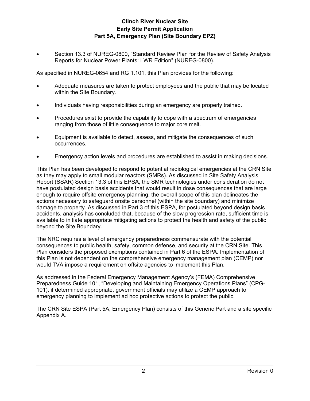Section 13.3 of NUREG-0800, "Standard Review Plan for the Review of Safety Analysis Reports for Nuclear Power Plants: LWR Edition" (NUREG-0800).

As specified in NUREG-0654 and RG 1.101, this Plan provides for the following:

- Adequate measures are taken to protect employees and the public that may be located within the Site Boundary.
- Individuals having responsibilities during an emergency are properly trained.
- Procedures exist to provide the capability to cope with a spectrum of emergencies ranging from those of little consequence to major core melt.
- Equipment is available to detect, assess, and mitigate the consequences of such occurrences.
- Emergency action levels and procedures are established to assist in making decisions.

This Plan has been developed to respond to potential radiological emergencies at the CRN Site as they may apply to small modular reactors (SMRs). As discussed in Site Safety Analysis Report (SSAR) Section 13.3 of this EPSA, the SMR technologies under consideration do not have postulated design basis accidents that would result in dose consequences that are large enough to require offsite emergency planning, the overall scope of this plan delineates the actions necessary to safeguard onsite personnel (within the site boundary) and minimize damage to property. As discussed in Part 3 of this ESPA, for postulated beyond design basis accidents, analysis has concluded that, because of the slow progression rate, sufficient time is available to initiate appropriate mitigating actions to protect the health and safety of the public beyond the Site Boundary.

The NRC requires a level of emergency preparedness commensurate with the potential consequences to public health, safety, common defense, and security at the CRN Site. This Plan considers the proposed exemptions contained in Part 6 of the ESPA. Implementation of this Plan is not dependent on the comprehensive emergency management plan (CEMP) nor would TVA impose a requirement on offsite agencies to implement this Plan.

As addressed in the Federal Emergency Management Agency's (FEMA) Comprehensive Preparedness Guide 101, "Developing and Maintaining Emergency Operations Plans" (CPG-101), if determined appropriate, government officials may utilize a CEMP approach to emergency planning to implement ad hoc protective actions to protect the public.

The CRN Site ESPA (Part 5A, Emergency Plan) consists of this Generic Part and a site specific Appendix A.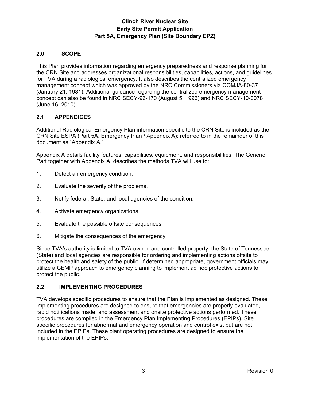# **2.0 SCOPE**

This Plan provides information regarding emergency preparedness and response planning for the CRN Site and addresses organizational responsibilities, capabilities, actions, and guidelines for TVA during a radiological emergency. It also describes the centralized emergency management concept which was approved by the NRC Commissioners via COMJA-80-37 (January 21, 1981). Additional guidance regarding the centralized emergency management concept can also be found in NRC SECY-96-170 (August 5, 1996) and NRC SECY-10-0078 (June 16, 2010).

# **2.1 APPENDICES**

Additional Radiological Emergency Plan information specific to the CRN Site is included as the CRN Site ESPA (Part 5A, Emergency Plan / Appendix A); referred to in the remainder of this document as "Appendix A."

Appendix A details facility features, capabilities, equipment, and responsibilities. The Generic Part together with Appendix A, describes the methods TVA will use to:

- 1. Detect an emergency condition.
- 2. Evaluate the severity of the problems.
- 3. Notify federal, State, and local agencies of the condition.
- 4. Activate emergency organizations.
- 5. Evaluate the possible offsite consequences.
- 6. Mitigate the consequences of the emergency.

Since TVA's authority is limited to TVA-owned and controlled property, the State of Tennessee (State) and local agencies are responsible for ordering and implementing actions offsite to protect the health and safety of the public. If determined appropriate, government officials may utilize a CEMP approach to emergency planning to implement ad hoc protective actions to protect the public.

# **2.2 IMPLEMENTING PROCEDURES**

TVA develops specific procedures to ensure that the Plan is implemented as designed. These implementing procedures are designed to ensure that emergencies are properly evaluated, rapid notifications made, and assessment and onsite protective actions performed. These procedures are compiled in the Emergency Plan Implementing Procedures (EPIPs). Site specific procedures for abnormal and emergency operation and control exist but are not included in the EPIPs. These plant operating procedures are designed to ensure the implementation of the EPIPs.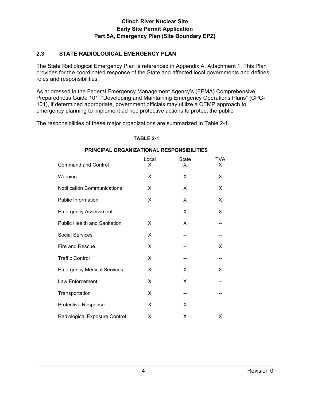### **2.3 STATE RADIOLOGICAL EMERGENCY PLAN**

The State Radiological Emergency Plan is referenced in Appendix A, Attachment 1. This Plan provides for the coordinated response of the State and affected local governments and defines roles and responsibilities.

As addressed in the Federal Emergency Management Agency's (FEMA) Comprehensive Preparedness Guide 101, "Developing and Maintaining Emergency Operations Plans" (CPG-101), if determined appropriate, government officials may utilize a CEMP approach to emergency planning to implement ad hoc protective actions to protect the public.

The responsibilities of these major organizations are summarized in Table 2-1.

#### **TABLE 2-1**

#### **PRINCIPAL ORGANIZATIONAL RESPONSIBILITIES**

| <b>Command and Control</b>          | Local<br>X | <b>State</b><br>X | <b>TVA</b><br>X |
|-------------------------------------|------------|-------------------|-----------------|
| Warning                             | X          | X                 | X               |
| <b>Notification Communications</b>  | X          | X                 | X               |
| <b>Public Information</b>           | X          | X                 | X               |
| <b>Emergency Assessment</b>         | --         | X                 | X               |
| <b>Public Health and Sanitation</b> | X          | X                 |                 |
| <b>Social Services</b>              | X          |                   |                 |
| Fire and Rescue                     | X          |                   | X               |
| <b>Traffic Control</b>              | X          |                   |                 |
| <b>Emergency Medical Services</b>   | X          | X                 | X               |
| Law Enforcement                     | X          | X                 |                 |
| Transportation                      | X          |                   |                 |
| <b>Protective Response</b>          | X          | X                 |                 |
| Radiological Exposure Control       | Χ          | X                 | X               |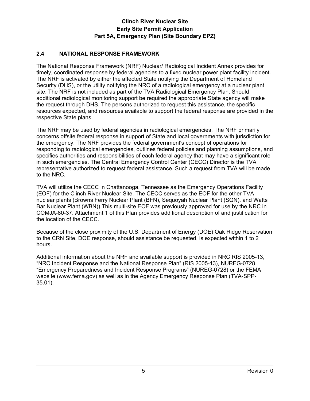### **2.4 NATIONAL RESPONSE FRAMEWORK**

The National Response Framework (NRF) Nuclear/ Radiological Incident Annex provides for timely, coordinated response by federal agencies to a fixed nuclear power plant facility incident. The NRF is activated by either the affected State notifying the Department of Homeland Security (DHS), or the utility notifying the NRC of a radiological emergency at a nuclear plant site. The NRF is not included as part of the TVA Radiological Emergency Plan. Should additional radiological monitoring support be required the appropriate State agency will make the request through DHS. The persons authorized to request this assistance, the specific resources expected, and resources available to support the federal response are provided in the respective State plans.

The NRF may be used by federal agencies in radiological emergencies. The NRF primarily concerns offsite federal response in support of State and local governments with jurisdiction for the emergency. The NRF provides the federal government's concept of operations for responding to radiological emergencies, outlines federal policies and planning assumptions, and specifies authorities and responsibilities of each federal agency that may have a significant role in such emergencies. The Central Emergency Control Center (CECC) Director is the TVA representative authorized to request federal assistance. Such a request from TVA will be made to the NRC.

TVA will utilize the CECC in Chattanooga, Tennessee as the Emergency Operations Facility (EOF) for the Clinch River Nuclear Site. The CECC serves as the EOF for the other TVA nuclear plants (Browns Ferry Nuclear Plant (BFN), Sequoyah Nuclear Plant (SQN), and Watts Bar Nuclear Plant (WBN)).This multi-site EOF was previously approved for use by the NRC in COMJA-80-37. Attachment 1 of this Plan provides additional description of and justification for the location of the CECC.

Because of the close proximity of the U.S. Department of Energy (DOE) Oak Ridge Reservation to the CRN Site, DOE response, should assistance be requested, is expected within 1 to 2 hours.

Additional information about the NRF and available support is provided in NRC RIS 2005-13, "NRC Incident Response and the National Response Plan" (RIS 2005-13), NUREG-0728, "Emergency Preparedness and Incident Response Programs" (NUREG-0728) or the FEMA website (www.fema.gov) as well as in the Agency Emergency Response Plan (TVA-SPP-35.01).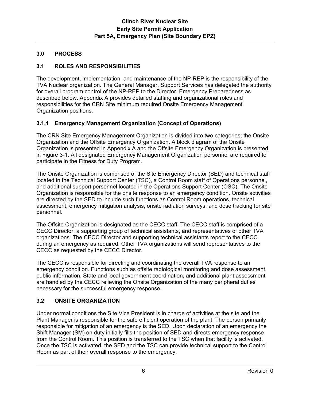# **3.0 PROCESS**

# **3.1 ROLES AND RESPONSIBILITIES**

The development, implementation, and maintenance of the NP-REP is the responsibility of the TVA Nuclear organization. The General Manager, Support Services has delegated the authority for overall program control of the NP-REP to the Director, Emergency Preparedness as described below. Appendix A provides detailed staffing and organizational roles and responsibilities for the CRN Site minimum required Onsite Emergency Management Organization positions.

# **3.1.1 Emergency Management Organization (Concept of Operations)**

The CRN Site Emergency Management Organization is divided into two categories; the Onsite Organization and the Offsite Emergency Organization. A block diagram of the Onsite Organization is presented in Appendix A and the Offsite Emergency Organization is presented in Figure 3-1. All designated Emergency Management Organization personnel are required to participate in the Fitness for Duty Program.

The Onsite Organization is comprised of the Site Emergency Director (SED) and technical staff located in the Technical Support Center (TSC), a Control Room staff of Operations personnel, and additional support personnel located in the Operations Support Center (OSC). The Onsite Organization is responsible for the onsite response to an emergency condition. Onsite activities are directed by the SED to include such functions as Control Room operations, technical assessment, emergency mitigation analysis, onsite radiation surveys, and dose tracking for site personnel.

The Offsite Organization is designated as the CECC staff. The CECC staff is comprised of a CECC Director, a supporting group of technical assistants, and representatives of other TVA organizations. The CECC Director and supporting technical assistants report to the CECC during an emergency as required. Other TVA organizations will send representatives to the CECC as requested by the CECC Director.

The CECC is responsible for directing and coordinating the overall TVA response to an emergency condition. Functions such as offsite radiological monitoring and dose assessment, public information, State and local government coordination, and additional plant assessment are handled by the CECC relieving the Onsite Organization of the many peripheral duties necessary for the successful emergency response.

# **3.2 ONSITE ORGANIZATION**

Under normal conditions the Site Vice President is in charge of activities at the site and the Plant Manager is responsible for the safe efficient operation of the plant. The person primarily responsible for mitigation of an emergency is the SED. Upon declaration of an emergency the Shift Manager (SM) on duty initially fills the position of SED and directs emergency response from the Control Room. This position is transferred to the TSC when that facility is activated. Once the TSC is activated, the SED and the TSC can provide technical support to the Control Room as part of their overall response to the emergency.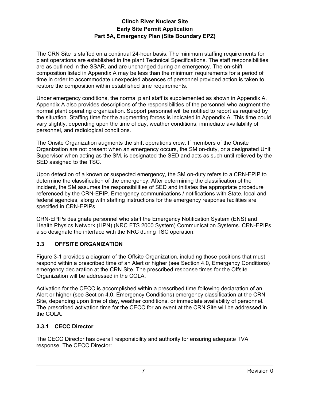The CRN Site is staffed on a continual 24-hour basis. The minimum staffing requirements for plant operations are established in the plant Technical Specifications. The staff responsibilities are as outlined in the SSAR, and are unchanged during an emergency. The on-shift composition listed in Appendix A may be less than the minimum requirements for a period of time in order to accommodate unexpected absences of personnel provided action is taken to restore the composition within established time requirements.

Under emergency conditions, the normal plant staff is supplemented as shown in Appendix A. Appendix A also provides descriptions of the responsibilities of the personnel who augment the normal plant operating organization. Support personnel will be notified to report as required by the situation. Staffing time for the augmenting forces is indicated in Appendix A. This time could vary slightly, depending upon the time of day, weather conditions, immediate availability of personnel, and radiological conditions.

The Onsite Organization augments the shift operations crew. If members of the Onsite Organization are not present when an emergency occurs, the SM on-duty, or a designated Unit Supervisor when acting as the SM, is designated the SED and acts as such until relieved by the SED assigned to the TSC.

Upon detection of a known or suspected emergency, the SM on-duty refers to a CRN-EPIP to determine the classification of the emergency. After determining the classification of the incident, the SM assumes the responsibilities of SED and initiates the appropriate procedure referenced by the CRN-EPIP. Emergency communications / notifications with State, local and federal agencies, along with staffing instructions for the emergency response facilities are specified in CRN-EPIPs.

CRN-EPIPs designate personnel who staff the Emergency Notification System (ENS) and Health Physics Network (HPN) (NRC FTS 2000 System) Communication Systems. CRN-EPIPs also designate the interface with the NRC during TSC operation.

# **3.3 OFFSITE ORGANIZATION**

Figure 3-1 provides a diagram of the Offsite Organization, including those positions that must respond within a prescribed time of an Alert or higher (see Section 4.0, Emergency Conditions) emergency declaration at the CRN Site. The prescribed response times for the Offsite Organization will be addressed in the COLA.

Activation for the CECC is accomplished within a prescribed time following declaration of an Alert or higher (see Section 4.0, Emergency Conditions) emergency classification at the CRN Site, depending upon time of day, weather conditions, or immediate availability of personnel. The prescribed activation time for the CECC for an event at the CRN Site will be addressed in the COLA.

# **3.3.1 CECC Director**

The CECC Director has overall responsibility and authority for ensuring adequate TVA response. The CECC Director: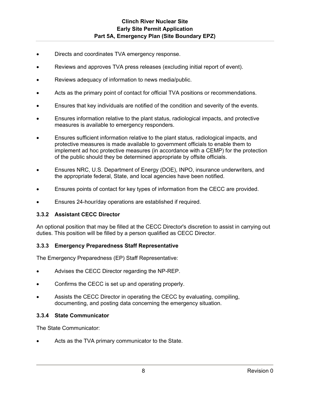- Directs and coordinates TVA emergency response.
- Reviews and approves TVA press releases (excluding initial report of event).
- Reviews adequacy of information to news media/public.
- Acts as the primary point of contact for official TVA positions or recommendations.
- Ensures that key individuals are notified of the condition and severity of the events.
- Ensures information relative to the plant status, radiological impacts, and protective measures is available to emergency responders.
- Ensures sufficient information relative to the plant status, radiological impacts, and protective measures is made available to government officials to enable them to implement ad hoc protective measures (in accordance with a CEMP) for the protection of the public should they be determined appropriate by offsite officials.
- Ensures NRC, U.S. Department of Energy (DOE), INPO, insurance underwriters, and the appropriate federal, State, and local agencies have been notified.
- Ensures points of contact for key types of information from the CECC are provided.
- Ensures 24-hour/day operations are established if required.

# **3.3.2 Assistant CECC Director**

An optional position that may be filled at the CECC Director's discretion to assist in carrying out duties. This position will be filled by a person qualified as CECC Director.

# **3.3.3 Emergency Preparedness Staff Representative**

The Emergency Preparedness (EP) Staff Representative:

- Advises the CECC Director regarding the NP-REP.
- Confirms the CECC is set up and operating properly.
- Assists the CECC Director in operating the CECC by evaluating, compiling, documenting, and posting data concerning the emergency situation.

# **3.3.4 State Communicator**

The State Communicator:

Acts as the TVA primary communicator to the State.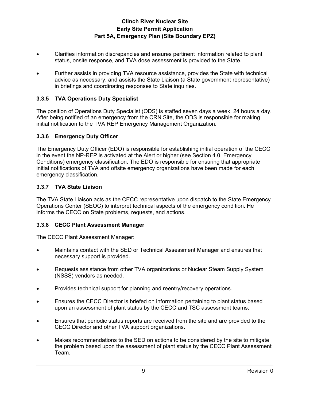- Clarifies information discrepancies and ensures pertinent information related to plant status, onsite response, and TVA dose assessment is provided to the State.
- Further assists in providing TVA resource assistance, provides the State with technical advice as necessary, and assists the State Liaison (a State government representative) in briefings and coordinating responses to State inquiries.

### **3.3.5 TVA Operations Duty Specialist**

The position of Operations Duty Specialist (ODS) is staffed seven days a week, 24 hours a day. After being notified of an emergency from the CRN Site, the ODS is responsible for making initial notification to the TVA REP Emergency Management Organization.

### **3.3.6 Emergency Duty Officer**

The Emergency Duty Officer (EDO) is responsible for establishing initial operation of the CECC in the event the NP-REP is activated at the Alert or higher (see Section 4.0, Emergency Conditions) emergency classification. The EDO is responsible for ensuring that appropriate initial notifications of TVA and offsite emergency organizations have been made for each emergency classification.

### **3.3.7 TVA State Liaison**

The TVA State Liaison acts as the CECC representative upon dispatch to the State Emergency Operations Center (SEOC) to interpret technical aspects of the emergency condition. He informs the CECC on State problems, requests, and actions.

### **3.3.8 CECC Plant Assessment Manager**

The CECC Plant Assessment Manager:

- Maintains contact with the SED or Technical Assessment Manager and ensures that necessary support is provided.
- Requests assistance from other TVA organizations or Nuclear Steam Supply System (NSSS) vendors as needed.
- Provides technical support for planning and reentry/recovery operations.
- Ensures the CECC Director is briefed on information pertaining to plant status based upon an assessment of plant status by the CECC and TSC assessment teams.
- Ensures that periodic status reports are received from the site and are provided to the CECC Director and other TVA support organizations.
- Makes recommendations to the SED on actions to be considered by the site to mitigate the problem based upon the assessment of plant status by the CECC Plant Assessment Team.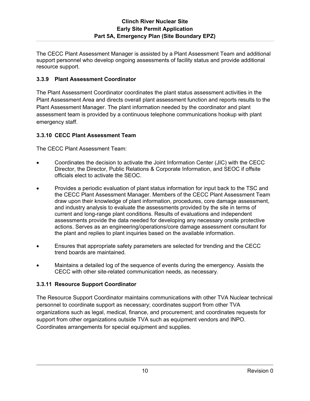The CECC Plant Assessment Manager is assisted by a Plant Assessment Team and additional support personnel who develop ongoing assessments of facility status and provide additional resource support.

# **3.3.9 Plant Assessment Coordinator**

The Plant Assessment Coordinator coordinates the plant status assessment activities in the Plant Assessment Area and directs overall plant assessment function and reports results to the Plant Assessment Manager. The plant information needed by the coordinator and plant assessment team is provided by a continuous telephone communications hookup with plant emergency staff.

# **3.3.10 CECC Plant Assessment Team**

The CECC Plant Assessment Team:

- Coordinates the decision to activate the Joint Information Center (JIC) with the CECC Director, the Director, Public Relations & Corporate Information, and SEOC if offsite officials elect to activate the SEOC.
- Provides a periodic evaluation of plant status information for input back to the TSC and the CECC Plant Assessment Manager. Members of the CECC Plant Assessment Team draw upon their knowledge of plant information, procedures, core damage assessment, and industry analysis to evaluate the assessments provided by the site in terms of current and long-range plant conditions. Results of evaluations and independent assessments provide the data needed for developing any necessary onsite protective actions. Serves as an engineering/operations/core damage assessment consultant for the plant and replies to plant inquiries based on the available information.
- Ensures that appropriate safety parameters are selected for trending and the CECC trend boards are maintained.
- Maintains a detailed log of the sequence of events during the emergency. Assists the CECC with other site-related communication needs, as necessary.

# **3.3.11 Resource Support Coordinator**

The Resource Support Coordinator maintains communications with other TVA Nuclear technical personnel to coordinate support as necessary; coordinates support from other TVA organizations such as legal, medical, finance, and procurement; and coordinates requests for support from other organizations outside TVA such as equipment vendors and INPO. Coordinates arrangements for special equipment and supplies.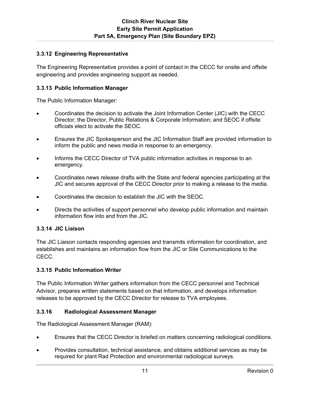# **3.3.12 Engineering Representative**

The Engineering Representative provides a point of contact in the CECC for onsite and offsite engineering and provides engineering support as needed.

### **3.3.13 Public Information Manager**

The Public Information Manager:

- Coordinates the decision to activate the Joint Information Center (JIC) with the CECC Director; the Director, Public Relations & Corporate Information; and SEOC if offsite officials elect to activate the SEOC.
- Ensures the JIC Spokesperson and the JIC Information Staff are provided information to inform the public and news media in response to an emergency.
- Informs the CECC Director of TVA public information activities in response to an emergency.
- Coordinates news release drafts with the State and federal agencies participating at the JIC and secures approval of the CECC Director prior to making a release to the media.
- Coordinates the decision to establish the JIC with the SEOC.
- Directs the activities of support personnel who develop public information and maintain information flow into and from the JIC.

# **3.3.14 JIC Liaison**

The JIC Liaison contacts responding agencies and transmits information for coordination, and establishes and maintains an information flow from the JIC or Site Communications to the CECC.

### **3.3.15 Public Information Writer**

The Public Information Writer gathers information from the CECC personnel and Technical Advisor, prepares written statements based on that information, and develops information releases to be approved by the CECC Director for release to TVA employees.

### **3.3.16 Radiological Assessment Manager**

The Radiological Assessment Manager (RAM):

- Ensures that the CECC Director is briefed on matters concerning radiological conditions.
- Provides consultation, technical assistance, and obtains additional services as may be required for plant Rad Protection and environmental radiological surveys.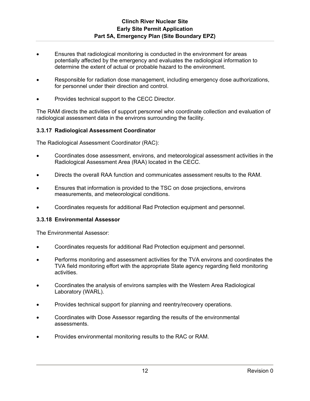- Ensures that radiological monitoring is conducted in the environment for areas potentially affected by the emergency and evaluates the radiological information to determine the extent of actual or probable hazard to the environment.
- Responsible for radiation dose management, including emergency dose authorizations, for personnel under their direction and control.
- Provides technical support to the CECC Director.

The RAM directs the activities of support personnel who coordinate collection and evaluation of radiological assessment data in the environs surrounding the facility.

### **3.3.17 Radiological Assessment Coordinator**

The Radiological Assessment Coordinator (RAC):

- Coordinates dose assessment, environs, and meteorological assessment activities in the Radiological Assessment Area (RAA) located in the CECC.
- Directs the overall RAA function and communicates assessment results to the RAM.
- Ensures that information is provided to the TSC on dose projections, environs measurements, and meteorological conditions.
- Coordinates requests for additional Rad Protection equipment and personnel.

### **3.3.18 Environmental Assessor**

The Environmental Assessor:

- Coordinates requests for additional Rad Protection equipment and personnel.
- Performs monitoring and assessment activities for the TVA environs and coordinates the TVA field monitoring effort with the appropriate State agency regarding field monitoring activities.
- Coordinates the analysis of environs samples with the Western Area Radiological Laboratory (WARL).
- Provides technical support for planning and reentry/recovery operations.
- Coordinates with Dose Assessor regarding the results of the environmental assessments.
- Provides environmental monitoring results to the RAC or RAM.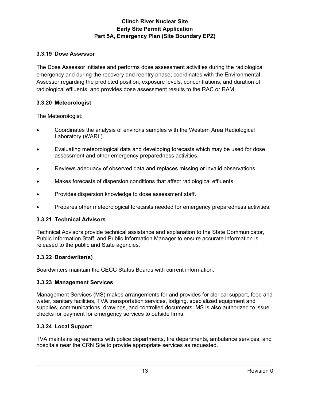# **3.3.19 Dose Assessor**

The Dose Assessor initiates and performs dose assessment activities during the radiological emergency and during the recovery and reentry phase; coordinates with the Environmental Assessor regarding the predicted position, exposure levels, concentrations, and duration of radiological effluents; and provides dose assessment results to the RAC or RAM.

# **3.3.20 Meteorologist**

The Meteorologist:

- Coordinates the analysis of environs samples with the Western Area Radiological Laboratory (WARL).
- Evaluating meteorological data and developing forecasts which may be used for dose assessment and other emergency preparedness activities.
- Reviews adequacy of observed data and replaces missing or invalid observations.
- Makes forecasts of dispersion conditions that affect radiological effluents.
- Provides dispersion knowledge to dose assessment staff.
- Prepares other meteorological forecasts needed for emergency preparedness activities.

# **3.3.21 Technical Advisors**

Technical Advisors provide technical assistance and explanation to the State Communicator, Public Information Staff, and Public Information Manager to ensure accurate information is released to the public and State agencies.

# **3.3.22 Boardwriter(s)**

Boardwriters maintain the CECC Status Boards with current information.

# **3.3.23 Management Services**

Management Services (MS) makes arrangements for and provides for clerical support, food and water, sanitary facilities, TVA transportation services, lodging, specialized equipment and supplies, communications, drawings, and controlled documents. MS is also authorized to issue checks for payment for emergency services to outside firms.

# **3.3.24 Local Support**

TVA maintains agreements with police departments, fire departments, ambulance services, and hospitals near the CRN Site to provide appropriate services as requested.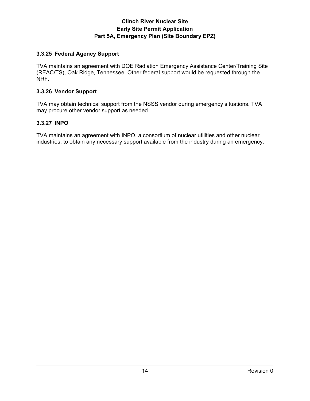### **3.3.25 Federal Agency Support**

TVA maintains an agreement with DOE Radiation Emergency Assistance Center/Training Site (REAC/TS), Oak Ridge, Tennessee. Other federal support would be requested through the NRF.

#### **3.3.26 Vendor Support**

TVA may obtain technical support from the NSSS vendor during emergency situations. TVA may procure other vendor support as needed.

### **3.3.27 INPO**

TVA maintains an agreement with INPO, a consortium of nuclear utilities and other nuclear industries, to obtain any necessary support available from the industry during an emergency.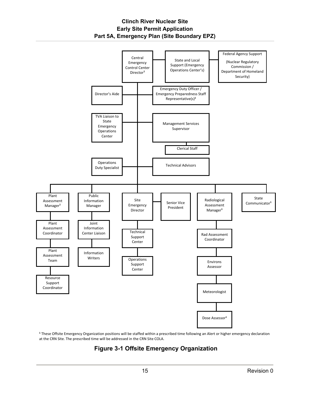# **Clinch River Nuclear Site Early Site Permit Application Part 5A, Emergency Plan (Site Boundary EPZ)**



**<sup>1</sup>** These Offsite Emergency Organization positions will be staffed within a prescribed time following an Alert or higher emergency declaration at the CRN Site. The prescribed time will be addressed in the CRN Site COLA.

# **Figure 3-1 Offsite Emergency Organization**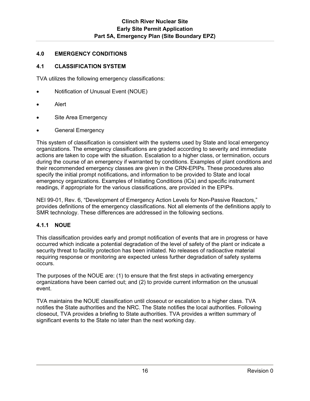# **4.0 EMERGENCY CONDITIONS**

# **4.1 CLASSIFICATION SYSTEM**

TVA utilizes the following emergency classifications:

- Notification of Unusual Event (NOUE)
- Alert
- Site Area Emergency
- General Emergency

This system of classification is consistent with the systems used by State and local emergency organizations. The emergency classifications are graded according to severity and immediate actions are taken to cope with the situation. Escalation to a higher class, or termination, occurs during the course of an emergency if warranted by conditions. Examples of plant conditions and their recommended emergency classes are given in the CRN-EPIPs. These procedures also specify the initial prompt notifications, and information to be provided to State and local emergency organizations. Examples of Initiating Conditions (ICs) and specific instrument readings, if appropriate for the various classifications, are provided in the EPIPs.

NEI 99-01, Rev. 6, "Development of Emergency Action Levels for Non-Passive Reactors," provides definitions of the emergency classifications. Not all elements of the definitions apply to SMR technology. These differences are addressed in the following sections.

# **4.1.1 NOUE**

This classification provides early and prompt notification of events that are in progress or have occurred which indicate a potential degradation of the level of safety of the plant or indicate a security threat to facility protection has been initiated. No releases of radioactive material requiring response or monitoring are expected unless further degradation of safety systems occurs.

The purposes of the NOUE are: (1) to ensure that the first steps in activating emergency organizations have been carried out; and (2) to provide current information on the unusual event.

TVA maintains the NOUE classification until closeout or escalation to a higher class. TVA notifies the State authorities and the NRC. The State notifies the local authorities. Following closeout, TVA provides a briefing to State authorities. TVA provides a written summary of significant events to the State no later than the next working day.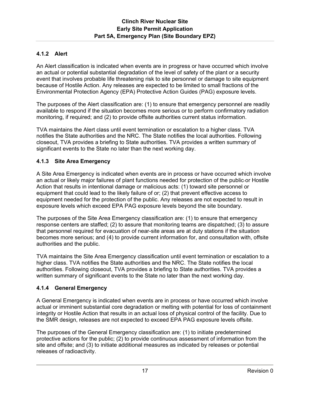# **4.1.2 Alert**

An Alert classification is indicated when events are in progress or have occurred which involve an actual or potential substantial degradation of the level of safety of the plant or a security event that involves probable life threatening risk to site personnel or damage to site equipment because of Hostile Action. Any releases are expected to be limited to small fractions of the Environmental Protection Agency (EPA) Protective Action Guides (PAG) exposure levels.

The purposes of the Alert classification are: (1) to ensure that emergency personnel are readily available to respond if the situation becomes more serious or to perform confirmatory radiation monitoring, if required; and (2) to provide offsite authorities current status information.

TVA maintains the Alert class until event termination or escalation to a higher class. TVA notifies the State authorities and the NRC. The State notifies the local authorities. Following closeout, TVA provides a briefing to State authorities. TVA provides a written summary of significant events to the State no later than the next working day.

# **4.1.3 Site Area Emergency**

A Site Area Emergency is indicated when events are in process or have occurred which involve an actual or likely major failures of plant functions needed for protection of the public or Hostile Action that results in intentional damage or malicious acts: (1) toward site personnel or equipment that could lead to the likely failure of or; (2) that prevent effective access to equipment needed for the protection of the public. Any releases are not expected to result in exposure levels which exceed EPA PAG exposure levels beyond the site boundary.

The purposes of the Site Area Emergency classification are: (1) to ensure that emergency response centers are staffed; (2) to assure that monitoring teams are dispatched; (3) to assure that personnel required for evacuation of near-site areas are at duty stations if the situation becomes more serious; and (4) to provide current information for, and consultation with, offsite authorities and the public.

TVA maintains the Site Area Emergency classification until event termination or escalation to a higher class. TVA notifies the State authorities and the NRC. The State notifies the local authorities. Following closeout, TVA provides a briefing to State authorities. TVA provides a written summary of significant events to the State no later than the next working day.

# **4.1.4 General Emergency**

A General Emergency is indicated when events are in process or have occurred which involve actual or imminent substantial core degradation or melting with potential for loss of containment integrity or Hostile Action that results in an actual loss of physical control of the facility. Due to the SMR design, releases are not expected to exceed EPA PAG exposure levels offsite.

The purposes of the General Emergency classification are: (1) to initiate predetermined protective actions for the public; (2) to provide continuous assessment of information from the site and offsite; and (3) to initiate additional measures as indicated by releases or potential releases of radioactivity.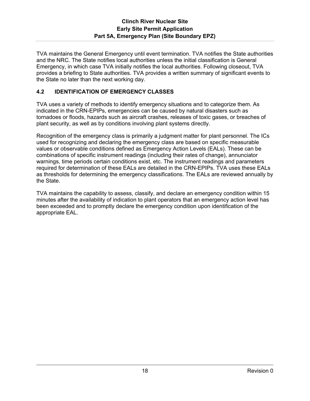TVA maintains the General Emergency until event termination. TVA notifies the State authorities and the NRC. The State notifies local authorities unless the initial classification is General Emergency, in which case TVA initially notifies the local authorities. Following closeout, TVA provides a briefing to State authorities. TVA provides a written summary of significant events to the State no later than the next working day.

# **4.2 IDENTIFICATION OF EMERGENCY CLASSES**

TVA uses a variety of methods to identify emergency situations and to categorize them. As indicated in the CRN-EPIPs, emergencies can be caused by natural disasters such as tornadoes or floods, hazards such as aircraft crashes, releases of toxic gases, or breaches of plant security, as well as by conditions involving plant systems directly.

Recognition of the emergency class is primarily a judgment matter for plant personnel. The ICs used for recognizing and declaring the emergency class are based on specific measurable values or observable conditions defined as Emergency Action Levels (EALs). These can be combinations of specific instrument readings (including their rates of change), annunciator warnings, time periods certain conditions exist, etc. The instrument readings and parameters required for determination of these EALs are detailed in the CRN-EPIPs. TVA uses these EALs as thresholds for determining the emergency classifications. The EALs are reviewed annually by the State.

TVA maintains the capability to assess, classify, and declare an emergency condition within 15 minutes after the availability of indication to plant operators that an emergency action level has been exceeded and to promptly declare the emergency condition upon identification of the appropriate EAL.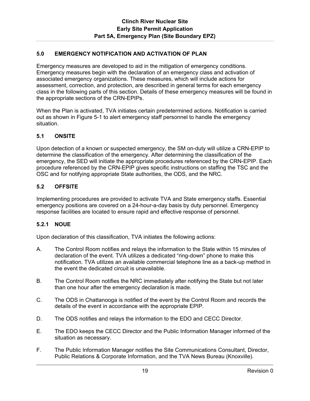# **5.0 EMERGENCY NOTIFICATION AND ACTIVATION OF PLAN**

Emergency measures are developed to aid in the mitigation of emergency conditions. Emergency measures begin with the declaration of an emergency class and activation of associated emergency organizations. These measures, which will include actions for assessment, correction, and protection, are described in general terms for each emergency class in the following parts of this section. Details of these emergency measures will be found in the appropriate sections of the CRN-EPIPs.

When the Plan is activated, TVA initiates certain predetermined actions. Notification is carried out as shown in Figure 5-1 to alert emergency staff personnel to handle the emergency situation.

### **5.1 ONSITE**

Upon detection of a known or suspected emergency, the SM on-duty will utilize a CRN-EPIP to determine the classification of the emergency. After determining the classification of the emergency, the SED will initiate the appropriate procedures referenced by the CRN-EPIP. Each procedure referenced by the CRN-EPIP gives specific instructions on staffing the TSC and the OSC and for notifying appropriate State authorities, the ODS, and the NRC.

### **5.2 OFFSITE**

Implementing procedures are provided to activate TVA and State emergency staffs. Essential emergency positions are covered on a 24-hour-a-day basis by duty personnel. Emergency response facilities are located to ensure rapid and effective response of personnel.

### **5.2.1 NOUE**

Upon declaration of this classification, TVA initiates the following actions:

- A. The Control Room notifies and relays the information to the State within 15 minutes of declaration of the event. TVA utilizes a dedicated "ring-down" phone to make this notification. TVA utilizes an available commercial telephone line as a back-up method in the event the dedicated circuit is unavailable.
- B. The Control Room notifies the NRC immediately after notifying the State but not later than one hour after the emergency declaration is made.
- C. The ODS in Chattanooga is notified of the event by the Control Room and records the details of the event in accordance with the appropriate EPIP.
- D. The ODS notifies and relays the information to the EDO and CECC Director.
- E. The EDO keeps the CECC Director and the Public Information Manager informed of the situation as necessary.
- F. The Public Information Manager notifies the Site Communications Consultant, Director, Public Relations & Corporate Information, and the TVA News Bureau (Knoxville).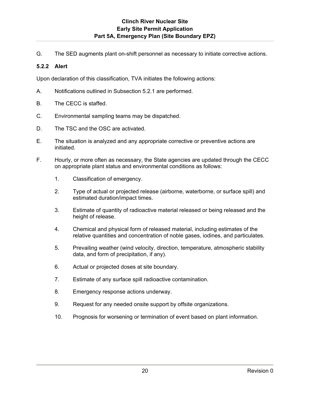G. The SED augments plant on-shift personnel as necessary to initiate corrective actions.

### **5.2.2 Alert**

Upon declaration of this classification, TVA initiates the following actions:

- A. Notifications outlined in Subsection 5.2.1 are performed.
- B. The CECC is staffed.
- C. Environmental sampling teams may be dispatched.
- D. The TSC and the OSC are activated.
- E. The situation is analyzed and any appropriate corrective or preventive actions are initiated.
- F. Hourly, or more often as necessary, the State agencies are updated through the CECC on appropriate plant status and environmental conditions as follows:
	- 1. Classification of emergency.
	- 2. Type of actual or projected release (airborne, waterborne, or surface spill) and estimated duration/impact times.
	- 3. Estimate of quantity of radioactive material released or being released and the height of release.
	- 4. Chemical and physical form of released material, including estimates of the relative quantities and concentration of noble gases, iodines, and particulates.
	- 5. Prevailing weather (wind velocity, direction, temperature, atmospheric stability data, and form of precipitation, if any).
	- 6. Actual or projected doses at site boundary.
	- 7. Estimate of any surface spill radioactive contamination.
	- 8. Emergency response actions underway.
	- 9. Request for any needed onsite support by offsite organizations.
	- 10. Prognosis for worsening or termination of event based on plant information.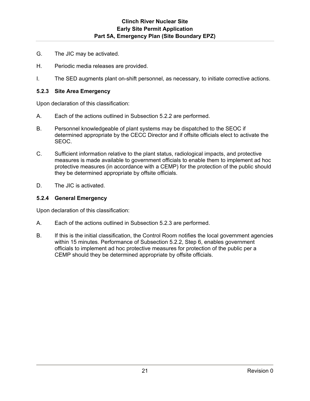- G. The JIC may be activated.
- H. Periodic media releases are provided.
- I. The SED augments plant on-shift personnel, as necessary, to initiate corrective actions.

#### **5.2.3 Site Area Emergency**

Upon declaration of this classification:

- A. Each of the actions outlined in Subsection 5.2.2 are performed.
- B. Personnel knowledgeable of plant systems may be dispatched to the SEOC if determined appropriate by the CECC Director and if offsite officials elect to activate the SEOC.
- C. Sufficient information relative to the plant status, radiological impacts, and protective measures is made available to government officials to enable them to implement ad hoc protective measures (in accordance with a CEMP) for the protection of the public should they be determined appropriate by offsite officials.
- D. The JIC is activated.

#### **5.2.4 General Emergency**

Upon declaration of this classification:

- A. Each of the actions outlined in Subsection 5.2.3 are performed.
- B. If this is the initial classification, the Control Room notifies the local government agencies within 15 minutes. Performance of Subsection 5.2.2, Step 6, enables government officials to implement ad hoc protective measures for protection of the public per a CEMP should they be determined appropriate by offsite officials.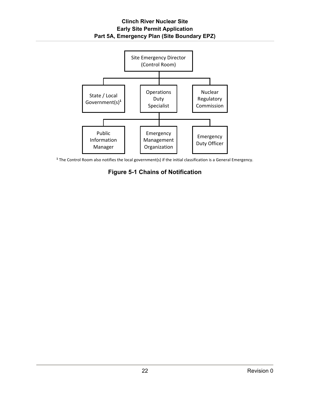

**<sup>1</sup>** The Control Room also notifies the local government(s) if the initial classification is a General Emergency.

# **Figure 5-1 Chains of Notification**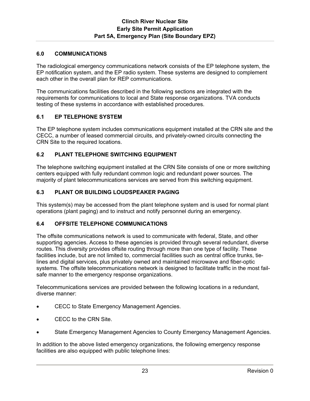### **6.0 COMMUNICATIONS**

The radiological emergency communications network consists of the EP telephone system, the EP notification system, and the EP radio system. These systems are designed to complement each other in the overall plan for REP communications.

The communications facilities described in the following sections are integrated with the requirements for communications to local and State response organizations. TVA conducts testing of these systems in accordance with established procedures.

# **6.1 EP TELEPHONE SYSTEM**

The EP telephone system includes communications equipment installed at the CRN site and the CECC, a number of leased commercial circuits, and privately-owned circuits connecting the CRN Site to the required locations.

### **6.2 PLANT TELEPHONE SWITCHING EQUIPMENT**

The telephone switching equipment installed at the CRN Site consists of one or more switching centers equipped with fully redundant common logic and redundant power sources. The majority of plant telecommunications services are served from this switching equipment.

### **6.3 PLANT OR BUILDING LOUDSPEAKER PAGING**

This system(s) may be accessed from the plant telephone system and is used for normal plant operations (plant paging) and to instruct and notify personnel during an emergency.

### **6.4 OFFSITE TELEPHONE COMMUNICATIONS**

The offsite communications network is used to communicate with federal, State, and other supporting agencies. Access to these agencies is provided through several redundant, diverse routes. This diversity provides offsite routing through more than one type of facility. These facilities include, but are not limited to, commercial facilities such as central office trunks, tielines and digital services, plus privately owned and maintained microwave and fiber-optic systems. The offsite telecommunications network is designed to facilitate traffic in the most failsafe manner to the emergency response organizations.

Telecommunications services are provided between the following locations in a redundant, diverse manner:

- CECC to State Emergency Management Agencies.
- CECC to the CRN Site.
- State Emergency Management Agencies to County Emergency Management Agencies.

In addition to the above listed emergency organizations, the following emergency response facilities are also equipped with public telephone lines: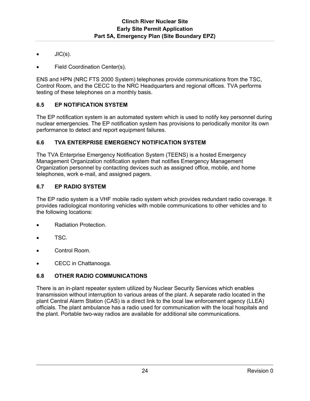- JIC(s).
- Field Coordination Center(s).

ENS and HPN (NRC FTS 2000 System) telephones provide communications from the TSC, Control Room, and the CECC to the NRC Headquarters and regional offices. TVA performs testing of these telephones on a monthly basis.

### **6.5 EP NOTIFICATION SYSTEM**

The EP notification system is an automated system which is used to notify key personnel during nuclear emergencies. The EP notification system has provisions to periodically monitor its own performance to detect and report equipment failures.

### **6.6 TVA ENTERPRISE EMERGENCY NOTIFICATION SYSTEM**

The TVA Enterprise Emergency Notification System (TEENS) is a hosted Emergency Management Organization notification system that notifies Emergency Management Organization personnel by contacting devices such as assigned office, mobile, and home telephones, work e-mail, and assigned pagers.

### **6.7 EP RADIO SYSTEM**

The EP radio system is a VHF mobile radio system which provides redundant radio coverage. It provides radiological monitoring vehicles with mobile communications to other vehicles and to the following locations:

- Radiation Protection.
- TSC.
- Control Room.
- CECC in Chattanooga.

### **6.8 OTHER RADIO COMMUNICATIONS**

There is an in-plant repeater system utilized by Nuclear Security Services which enables transmission without interruption to various areas of the plant. A separate radio located in the plant Central Alarm Station (CAS) is a direct link to the local law enforcement agency (LLEA) officials. The plant ambulance has a radio used for communication with the local hospitals and the plant. Portable two-way radios are available for additional site communications.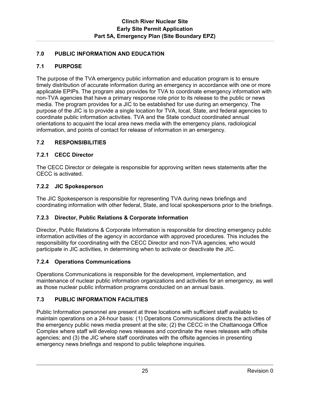# **7.0 PUBLIC INFORMATION AND EDUCATION**

# **7.1 PURPOSE**

The purpose of the TVA emergency public information and education program is to ensure timely distribution of accurate information during an emergency in accordance with one or more applicable EPIPs. The program also provides for TVA to coordinate emergency information with non-TVA agencies that have a primary response role prior to its release to the public or news media. The program provides for a JIC to be established for use during an emergency. The purpose of the JIC is to provide a single location for TVA, local, State, and federal agencies to coordinate public information activities. TVA and the State conduct coordinated annual orientations to acquaint the local area news media with the emergency plans, radiological information, and points of contact for release of information in an emergency.

# **7.2 RESPONSIBILITIES**

# **7.2.1 CECC Director**

The CECC Director or delegate is responsible for approving written news statements after the CECC is activated.

# **7.2.2 JIC Spokesperson**

The JIC Spokesperson is responsible for representing TVA during news briefings and coordinating information with other federal, State, and local spokespersons prior to the briefings.

# **7.2.3 Director, Public Relations & Corporate Information**

Director, Public Relations & Corporate Information is responsible for directing emergency public information activities of the agency in accordance with approved procedures. This includes the responsibility for coordinating with the CECC Director and non-TVA agencies, who would participate in JIC activities, in determining when to activate or deactivate the JIC.

# **7.2.4 Operations Communications**

Operations Communications is responsible for the development, implementation, and maintenance of nuclear public information organizations and activities for an emergency, as well as those nuclear public information programs conducted on an annual basis.

# **7.3 PUBLIC INFORMATION FACILITIES**

Public Information personnel are present at three locations with sufficient staff available to maintain operations on a 24-hour basis: (1) Operations Communications directs the activities of the emergency public news media present at the site; (2) the CECC in the Chattanooga Office Complex where staff will develop news releases and coordinate the news releases with offsite agencies; and (3) the JIC where staff coordinates with the offsite agencies in presenting emergency news briefings and respond to public telephone inquiries.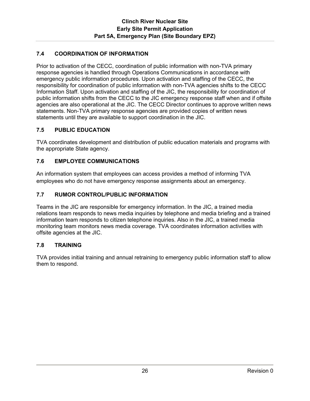# **7.4 COORDINATION OF INFORMATION**

Prior to activation of the CECC, coordination of public information with non-TVA primary response agencies is handled through Operations Communications in accordance with emergency public information procedures. Upon activation and staffing of the CECC, the responsibility for coordination of public information with non-TVA agencies shifts to the CECC Information Staff. Upon activation and staffing of the JIC, the responsibility for coordination of public information shifts from the CECC to the JIC emergency response staff when and if offsite agencies are also operational at the JIC. The CECC Director continues to approve written news statements. Non-TVA primary response agencies are provided copies of written news statements until they are available to support coordination in the JIC.

# **7.5 PUBLIC EDUCATION**

TVA coordinates development and distribution of public education materials and programs with the appropriate State agency.

# **7.6 EMPLOYEE COMMUNICATIONS**

An information system that employees can access provides a method of informing TVA employees who do not have emergency response assignments about an emergency.

# **7.7 RUMOR CONTROL/PUBLIC INFORMATION**

Teams in the JIC are responsible for emergency information. In the JIC, a trained media relations team responds to news media inquiries by telephone and media briefing and a trained information team responds to citizen telephone inquiries. Also in the JIC, a trained media monitoring team monitors news media coverage. TVA coordinates information activities with offsite agencies at the JIC.

# **7.8 TRAINING**

TVA provides initial training and annual retraining to emergency public information staff to allow them to respond.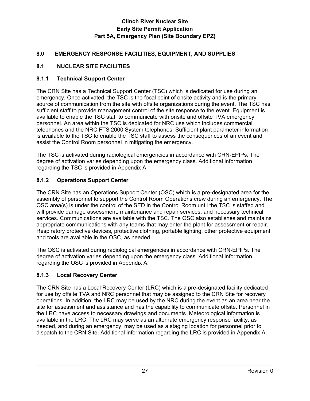# **8.0 EMERGENCY RESPONSE FACILITIES, EQUIPMENT, AND SUPPLIES**

# **8.1 NUCLEAR SITE FACILITIES**

# **8.1.1 Technical Support Center**

The CRN Site has a Technical Support Center (TSC) which is dedicated for use during an emergency. Once activated, the TSC is the focal point of onsite activity and is the primary source of communication from the site with offsite organizations during the event. The TSC has sufficient staff to provide management control of the site response to the event. Equipment is available to enable the TSC staff to communicate with onsite and offsite TVA emergency personnel. An area within the TSC is dedicated for NRC use which includes commercial telephones and the NRC FTS 2000 System telephones. Sufficient plant parameter information is available to the TSC to enable the TSC staff to assess the consequences of an event and assist the Control Room personnel in mitigating the emergency.

The TSC is activated during radiological emergencies in accordance with CRN-EPIPs. The degree of activation varies depending upon the emergency class. Additional information regarding the TSC is provided in Appendix A.

# **8.1.2 Operations Support Center**

The CRN Site has an Operations Support Center (OSC) which is a pre-designated area for the assembly of personnel to support the Control Room Operations crew during an emergency. The OSC area(s) is under the control of the SED in the Control Room until the TSC is staffed and will provide damage assessment, maintenance and repair services, and necessary technical services. Communications are available with the TSC. The OSC also establishes and maintains appropriate communications with any teams that may enter the plant for assessment or repair. Respiratory protective devices, protective clothing, portable lighting, other protective equipment and tools are available in the OSC, as needed.

The OSC is activated during radiological emergencies in accordance with CRN-EPIPs. The degree of activation varies depending upon the emergency class. Additional information regarding the OSC is provided in Appendix A.

# **8.1.3 Local Recovery Center**

The CRN Site has a Local Recovery Center (LRC) which is a pre-designated facility dedicated for use by offsite TVA and NRC personnel that may be assigned to the CRN Site for recovery operations. In addition, the LRC may be used by the NRC during the event as an area near the site for assessment and assistance and has the capability to communicate offsite. Personnel in the LRC have access to necessary drawings and documents. Meteorological information is available in the LRC. The LRC may serve as an alternate emergency response facility, as needed, and during an emergency, may be used as a staging location for personnel prior to dispatch to the CRN Site. Additional information regarding the LRC is provided in Appendix A.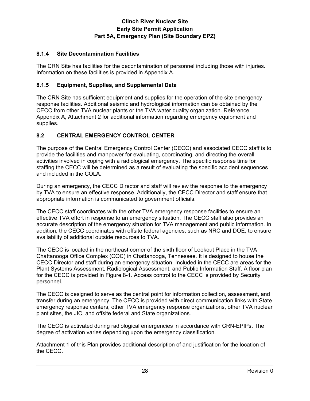### **8.1.4 Site Decontamination Facilities**

The CRN Site has facilities for the decontamination of personnel including those with injuries. Information on these facilities is provided in Appendix A.

### **8.1.5 Equipment, Supplies, and Supplemental Data**

The CRN Site has sufficient equipment and supplies for the operation of the site emergency response facilities. Additional seismic and hydrological information can be obtained by the CECC from other TVA nuclear plants or the TVA water quality organization. Reference Appendix A, Attachment 2 for additional information regarding emergency equipment and supplies.

# **8.2 CENTRAL EMERGENCY CONTROL CENTER**

The purpose of the Central Emergency Control Center (CECC) and associated CECC staff is to provide the facilities and manpower for evaluating, coordinating, and directing the overall activities involved in coping with a radiological emergency. The specific response time for staffing the CECC will be determined as a result of evaluating the specific accident sequences and included in the COLA.

During an emergency, the CECC Director and staff will review the response to the emergency by TVA to ensure an effective response. Additionally, the CECC Director and staff ensure that appropriate information is communicated to government officials.

The CECC staff coordinates with the other TVA emergency response facilities to ensure an effective TVA effort in response to an emergency situation. The CECC staff also provides an accurate description of the emergency situation for TVA management and public information. In addition, the CECC coordinates with offsite federal agencies, such as NRC and DOE, to ensure availability of additional outside resources to TVA.

The CECC is located in the northeast corner of the sixth floor of Lookout Place in the TVA Chattanooga Office Complex (COC) in Chattanooga, Tennessee. It is designed to house the CECC Director and staff during an emergency situation. Included in the CECC are areas for the Plant Systems Assessment, Radiological Assessment, and Public Information Staff. A floor plan for the CECC is provided in Figure 8-1. Access control to the CECC is provided by Security personnel.

The CECC is designed to serve as the central point for information collection, assessment, and transfer during an emergency. The CECC is provided with direct communication links with State emergency response centers, other TVA emergency response organizations, other TVA nuclear plant sites, the JIC, and offsite federal and State organizations.

The CECC is activated during radiological emergencies in accordance with CRN-EPIPs. The degree of activation varies depending upon the emergency classification.

Attachment 1 of this Plan provides additional description of and justification for the location of the CECC.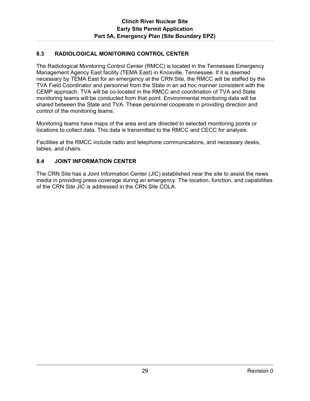# **8.3 RADIOLOGICAL MONITORING CONTROL CENTER**

The Radiological Monitoring Control Center (RMCC) is located in the Tennessee Emergency Management Agency East facility (TEMA East) in Knoxville, Tennessee. If it is deemed necessary by TEMA East for an emergency at the CRN Site, the RMCC will be staffed by the TVA Field Coordinator and personnel from the State in an ad hoc manner consistent with the CEMP approach. TVA will be co-located in the RMCC and coordination of TVA and State monitoring teams will be conducted from that point. Environmental monitoring data will be shared between the State and TVA. These personnel cooperate in providing direction and control of the monitoring teams.

Monitoring teams have maps of the area and are directed to selected monitoring points or locations to collect data. This data is transmitted to the RMCC and CECC for analysis.

Facilities at the RMCC include radio and telephone communications, and necessary desks, tables, and chairs.

### **8.4 JOINT INFORMATION CENTER**

The CRN Site has a Joint Information Center (JIC) established near the site to assist the news media in providing press coverage during an emergency. The location, function, and capabilities of the CRN Site JIC is addressed in the CRN Site COLA.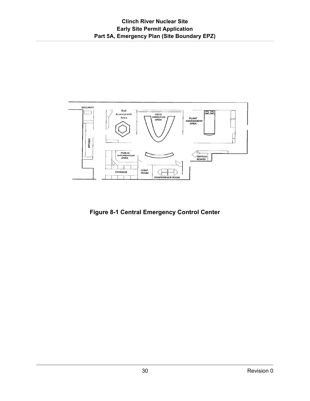

**Figure 8-1 Central Emergency Control Center**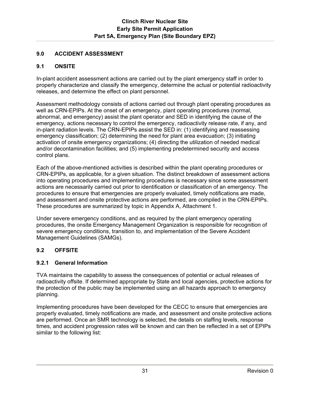## **9.0 ACCIDENT ASSESSMENT**

## **9.1 ONSITE**

In-plant accident assessment actions are carried out by the plant emergency staff in order to properly characterize and classify the emergency, determine the actual or potential radioactivity releases, and determine the effect on plant personnel.

Assessment methodology consists of actions carried out through plant operating procedures as well as CRN-EPIPs. At the onset of an emergency, plant operating procedures (normal, abnormal, and emergency) assist the plant operator and SED in identifying the cause of the emergency, actions necessary to control the emergency, radioactivity release rate, if any, and in-plant radiation levels. The CRN-EPIPs assist the SED in: (1) identifying and reassessing emergency classification; (2) determining the need for plant area evacuation; (3) initiating activation of onsite emergency organizations; (4) directing the utilization of needed medical and/or decontamination facilities; and (5) implementing predetermined security and access control plans.

Each of the above-mentioned activities is described within the plant operating procedures or CRN-EPIPs, as applicable, for a given situation. The distinct breakdown of assessment actions into operating procedures and implementing procedures is necessary since some assessment actions are necessarily carried out prior to identification or classification of an emergency. The procedures to ensure that emergencies are properly evaluated, timely notifications are made, and assessment and onsite protective actions are performed, are compiled in the CRN-EPIPs. These procedures are summarized by topic in Appendix A, Attachment 1.

Under severe emergency conditions, and as required by the plant emergency operating procedures, the onsite Emergency Management Organization is responsible for recognition of severe emergency conditions, transition to, and implementation of the Severe Accident Management Guidelines (SAMGs).

# **9.2 OFFSITE**

## **9.2.1 General Information**

TVA maintains the capability to assess the consequences of potential or actual releases of radioactivity offsite. If determined appropriate by State and local agencies, protective actions for the protection of the public may be implemented using an all hazards approach to emergency planning.

Implementing procedures have been developed for the CECC to ensure that emergencies are properly evaluated, timely notifications are made, and assessment and onsite protective actions are performed. Once an SMR technology is selected, the details on staffing levels, response times, and accident progression rates will be known and can then be reflected in a set of EPIPs similar to the following list: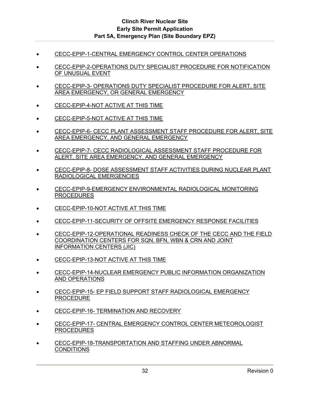- CECC-EPIP-1-CENTRAL EMERGENCY CONTROL CENTER OPERATIONS
- CECC-EPIP-2-OPERATIONS DUTY SPECIALIST PROCEDURE FOR NOTIFICATION OF UNUSUAL EVENT
- **CECC-EPIP-3- OPERATIONS DUTY SPECIALIST PROCEDURE FOR ALERT, SITE** AREA EMERGENCY, OR GENERAL EMERGENCY
- CECC-EPIP-4-NOT ACTIVE AT THIS TIME
- CECC-EPIP-5-NOT ACTIVE AT THIS TIME
- CECC-EPIP-6- CECC PLANT ASSESSMENT STAFF PROCEDURE FOR ALERT, SITE AREA EMERGENCY, AND GENERAL EMERGENCY
- **ECC-EPIP-7- CECC RADIOLOGICAL ASSESSMENT STAFF PROCEDURE FOR** ALERT, SITE AREA EMERGENCY, AND GENERAL EMERGENCY
- CECC-EPIP-8- DOSE ASSESSMENT STAFF ACTIVITIES DURING NUCLEAR PLANT RADIOLOGICAL EMERGENCIES
- CECC-EPIP-9-EMERGENCY ENVIRONMENTAL RADIOLOGICAL MONITORING PROCEDURES
- CECC-EPIP-10-NOT ACTIVE AT THIS TIME
- CECC-EPIP-11-SECURITY OF OFFSITE EMERGENCY RESPONSE FACILITIES
- CECC-EPIP-12-OPERATIONAL READINESS CHECK OF THE CECC AND THE FIELD COORDINATION CENTERS FOR SQN, BFN, WBN & CRN AND JOINT INFORMATION CENTERS (JIC)
- CECC-EPIP-13-NOT ACTIVE AT THIS TIME
- CECC-EPIP-14-NUCLEAR EMERGENCY PUBLIC INFORMATION ORGANIZATION AND OPERATIONS
- CECC-EPIP-15- EP FIELD SUPPORT STAFF RADIOLOGICAL EMERGENCY PROCEDURE
- CECC-EPIP-16- TERMINATION AND RECOVERY
- CECC-EPIP-17- CENTRAL EMERGENCY CONTROL CENTER METEOROLOGIST PROCEDURES
- CECC-EPIP-18-TRANSPORTATION AND STAFFING UNDER ABNORMAL **CONDITIONS**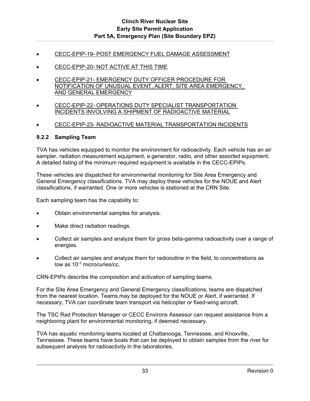- CECC-EPIP-19- POST EMERGENCY FUEL DAMAGE ASSESSMENT
- CECC-EPIP-20- NOT ACTIVE AT THIS TIME
- CECC-EPIP-21- EMERGENCY DUTY OFFICER PROCEDURE FOR NOTIFICATION OF UNUSUAL EVENT, ALERT, SITE AREA EMERGENCY, AND GENERAL EMERGENCY
- CECC-EPIP-22- OPERATIONS DUTY SPECIALIST TRANSPORTATION INCIDENTS INVOLVING A SHIPMENT OF RADIOACTIVE MATERIAL
- CECC-EPIP-23- RADIOACTIVE MATERIAL TRANSPORTATION INCIDENTS

#### **9.2.2 Sampling Team**

TVA has vehicles equipped to monitor the environment for radioactivity. Each vehicle has an air sampler, radiation measurement equipment, a generator, radio, and other assorted equipment. A detailed listing of the minimum required equipment is available in the CECC-EPIPs.

These vehicles are dispatched for environmental monitoring for Site Area Emergency and General Emergency classifications. TVA may deploy these vehicles for the NOUE and Alert classifications, if warranted. One or more vehicles is stationed at the CRN Site.

Each sampling team has the capability to:

- Obtain environmental samples for analysis.
- Make direct radiation readings.
- Collect air samples and analyze them for gross beta-gamma radioactivity over a range of energies.
- Collect air samples and analyze them for radioiodine in the field, to concentrations as low as 10-7 microcuries/cc.

CRN-EPIPs describe the composition and activation of sampling teams.

For the Site Area Emergency and General Emergency classifications, teams are dispatched from the nearest location. Teams may be deployed for the NOUE or Alert, if warranted. If necessary, TVA can coordinate team transport via helicopter or fixed-wing aircraft.

The TSC Rad Protection Manager or CECC Environs Assessor can request assistance from a neighboring plant for environmental monitoring, if deemed necessary.

TVA has aquatic monitoring teams located at Chattanooga, Tennessee, and Knoxville, Tennessee. These teams have boats that can be deployed to obtain samples from the river for subsequent analysis for radioactivity in the laboratories.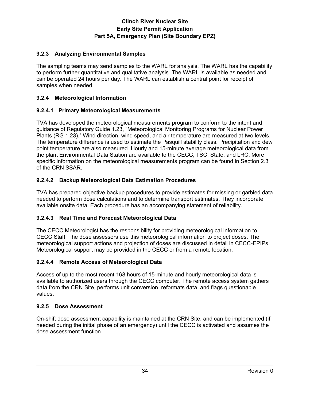## **9.2.3 Analyzing Environmental Samples**

The sampling teams may send samples to the WARL for analysis. The WARL has the capability to perform further quantitative and qualitative analysis. The WARL is available as needed and can be operated 24 hours per day. The WARL can establish a central point for receipt of samples when needed.

## **9.2.4 Meteorological Information**

#### **9.2.4.1 Primary Meteorological Measurements**

TVA has developed the meteorological measurements program to conform to the intent and guidance of Regulatory Guide 1.23, "Meteorological Monitoring Programs for Nuclear Power Plants (RG 1.23)." Wind direction, wind speed, and air temperature are measured at two levels. The temperature difference is used to estimate the Pasquill stability class. Precipitation and dew point temperature are also measured. Hourly and 15-minute average meteorological data from the plant Environmental Data Station are available to the CECC, TSC, State, and LRC. More specific information on the meteorological measurements program can be found in Section 2.3 of the CRN SSAR.

#### **9.2.4.2 Backup Meteorological Data Estimation Procedures**

TVA has prepared objective backup procedures to provide estimates for missing or garbled data needed to perform dose calculations and to determine transport estimates. They incorporate available onsite data. Each procedure has an accompanying statement of reliability.

#### **9.2.4.3 Real Time and Forecast Meteorological Data**

The CECC Meteorologist has the responsibility for providing meteorological information to CECC Staff. The dose assessors use this meteorological information to project doses. The meteorological support actions and projection of doses are discussed in detail in CECC-EPIPs. Meteorological support may be provided in the CECC or from a remote location.

## **9.2.4.4 Remote Access of Meteorological Data**

Access of up to the most recent 168 hours of 15-minute and hourly meteorological data is available to authorized users through the CECC computer. The remote access system gathers data from the CRN Site, performs unit conversion, reformats data, and flags questionable values.

#### **9.2.5 Dose Assessment**

On-shift dose assessment capability is maintained at the CRN Site, and can be implemented (if needed during the initial phase of an emergency) until the CECC is activated and assumes the dose assessment function.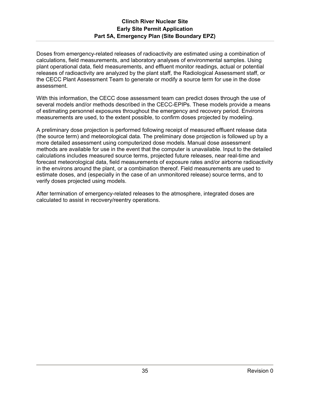Doses from emergency-related releases of radioactivity are estimated using a combination of calculations, field measurements, and laboratory analyses of environmental samples. Using plant operational data, field measurements, and effluent monitor readings, actual or potential releases of radioactivity are analyzed by the plant staff, the Radiological Assessment staff, or the CECC Plant Assessment Team to generate or modify a source term for use in the dose assessment.

With this information, the CECC dose assessment team can predict doses through the use of several models and/or methods described in the CECC-EPIPs. These models provide a means of estimating personnel exposures throughout the emergency and recovery period. Environs measurements are used, to the extent possible, to confirm doses projected by modeling.

A preliminary dose projection is performed following receipt of measured effluent release data (the source term) and meteorological data. The preliminary dose projection is followed up by a more detailed assessment using computerized dose models. Manual dose assessment methods are available for use in the event that the computer is unavailable. Input to the detailed calculations includes measured source terms, projected future releases, near real-time and forecast meteorological data, field measurements of exposure rates and/or airborne radioactivity in the environs around the plant, or a combination thereof. Field measurements are used to estimate doses, and (especially in the case of an unmonitored release) source terms, and to verify doses projected using models.

After termination of emergency-related releases to the atmosphere, integrated doses are calculated to assist in recovery/reentry operations.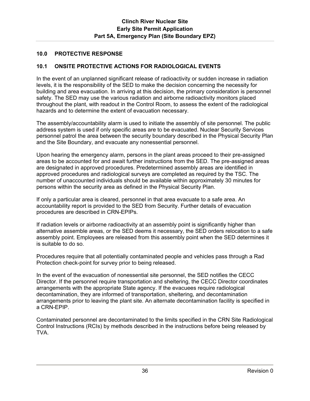## **10.0 PROTECTIVE RESPONSE**

## **10.1 ONSITE PROTECTIVE ACTIONS FOR RADIOLOGICAL EVENTS**

In the event of an unplanned significant release of radioactivity or sudden increase in radiation levels, it is the responsibility of the SED to make the decision concerning the necessity for building and area evacuation. In arriving at this decision, the primary consideration is personnel safety. The SED may use the various radiation and airborne radioactivity monitors placed throughout the plant, with readout in the Control Room, to assess the extent of the radiological hazards and to determine the extent of evacuation necessary.

The assembly/accountability alarm is used to initiate the assembly of site personnel. The public address system is used if only specific areas are to be evacuated. Nuclear Security Services personnel patrol the area between the security boundary described in the Physical Security Plan and the Site Boundary, and evacuate any nonessential personnel.

Upon hearing the emergency alarm, persons in the plant areas proceed to their pre-assigned areas to be accounted for and await further instructions from the SED. The pre-assigned areas are designated in approved procedures. Predetermined assembly areas are identified in approved procedures and radiological surveys are completed as required by the TSC. The number of unaccounted individuals should be available within approximately 30 minutes for persons within the security area as defined in the Physical Security Plan.

If only a particular area is cleared, personnel in that area evacuate to a safe area. An accountability report is provided to the SED from Security. Further details of evacuation procedures are described in CRN-EPIPs.

If radiation levels or airborne radioactivity at an assembly point is significantly higher than alternative assemble areas, or the SED deems it necessary, the SED orders relocation to a safe assembly point. Employees are released from this assembly point when the SED determines it is suitable to do so.

Procedures require that all potentially contaminated people and vehicles pass through a Rad Protection check-point for survey prior to being released.

In the event of the evacuation of nonessential site personnel, the SED notifies the CECC Director. If the personnel require transportation and sheltering, the CECC Director coordinates arrangements with the appropriate State agency. If the evacuees require radiological decontamination, they are informed of transportation, sheltering, and decontamination arrangements prior to leaving the plant site. An alternate decontamination facility is specified in a CRN-EPIP.

Contaminated personnel are decontaminated to the limits specified in the CRN Site Radiological Control Instructions (RCIs) by methods described in the instructions before being released by TVA.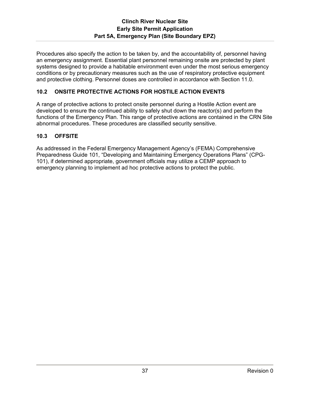Procedures also specify the action to be taken by, and the accountability of, personnel having an emergency assignment. Essential plant personnel remaining onsite are protected by plant systems designed to provide a habitable environment even under the most serious emergency conditions or by precautionary measures such as the use of respiratory protective equipment and protective clothing. Personnel doses are controlled in accordance with Section 11.0.

# **10.2 ONSITE PROTECTIVE ACTIONS FOR HOSTILE ACTION EVENTS**

A range of protective actions to protect onsite personnel during a Hostile Action event are developed to ensure the continued ability to safely shut down the reactor(s) and perform the functions of the Emergency Plan. This range of protective actions are contained in the CRN Site abnormal procedures. These procedures are classified security sensitive.

## **10.3 OFFSITE**

As addressed in the Federal Emergency Management Agency's (FEMA) Comprehensive Preparedness Guide 101, "Developing and Maintaining Emergency Operations Plans" (CPG-101), if determined appropriate, government officials may utilize a CEMP approach to emergency planning to implement ad hoc protective actions to protect the public.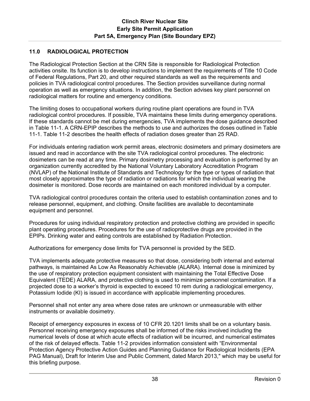# **11.0 RADIOLOGICAL PROTECTION**

The Radiological Protection Section at the CRN Site is responsible for Radiological Protection activities onsite. Its function is to develop instructions to implement the requirements of Title 10 Code of Federal Regulations, Part 20, and other required standards as well as the requirements and policies in TVA radiological control procedures. The Section provides surveillance during normal operation as well as emergency situations. In addition, the Section advises key plant personnel on radiological matters for routine and emergency conditions.

The limiting doses to occupational workers during routine plant operations are found in TVA radiological control procedures. If possible, TVA maintains these limits during emergency operations. If these standards cannot be met during emergencies, TVA implements the dose guidance described in Table 11-1. A CRN-EPIP describes the methods to use and authorizes the doses outlined in Table 11-1. Table 11-2 describes the health effects of radiation doses greater than 25 RAD.

For individuals entering radiation work permit areas, electronic dosimeters and primary dosimeters are issued and read in accordance with the site TVA radiological control procedures. The electronic dosimeters can be read at any time. Primary dosimetry processing and evaluation is performed by an organization currently accredited by the National Voluntary Laboratory Accreditation Program (NVLAP) of the National Institute of Standards and Technology for the type or types of radiation that most closely approximates the type of radiation or radiations for which the individual wearing the dosimeter is monitored. Dose records are maintained on each monitored individual by a computer.

TVA radiological control procedures contain the criteria used to establish contamination zones and to release personnel, equipment, and clothing. Onsite facilities are available to decontaminate equipment and personnel.

Procedures for using individual respiratory protection and protective clothing are provided in specific plant operating procedures. Procedures for the use of radioprotective drugs are provided in the EPIPs. Drinking water and eating controls are established by Radiation Protection.

Authorizations for emergency dose limits for TVA personnel is provided by the SED.

TVA implements adequate protective measures so that dose, considering both internal and external pathways, is maintained As Low As Reasonably Achievable (ALARA). Internal dose is minimized by the use of respiratory protection equipment consistent with maintaining the Total Effective Dose Equivalent (TEDE) ALARA, and protective clothing is used to minimize personnel contamination. If a projected dose to a worker's thyroid is expected to exceed 10 rem during a radiological emergency, Potassium Iodide (KI) is issued in accordance with applicable implementing procedures.

Personnel shall not enter any area where dose rates are unknown or unmeasurable with either instruments or available dosimetry.

Receipt of emergency exposures in excess of 10 CFR 20.1201 limits shall be on a voluntary basis. Personnel receiving emergency exposures shall be informed of the risks involved including the numerical levels of dose at which acute effects of radiation will be incurred, and numerical estimates of the risk of delayed effects. Table 11-2 provides information consistent with "Environmental Protection Agency Protective Action Guides and Planning Guidance for Radiological Incidents (EPA PAG Manual), Draft for Interim Use and Public Comment, dated March 2013," which may be useful for this briefing purpose.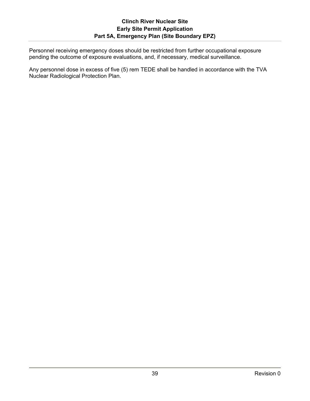Personnel receiving emergency doses should be restricted from further occupational exposure pending the outcome of exposure evaluations, and, if necessary, medical surveillance.

Any personnel dose in excess of five (5) rem TEDE shall be handled in accordance with the TVA Nuclear Radiological Protection Plan.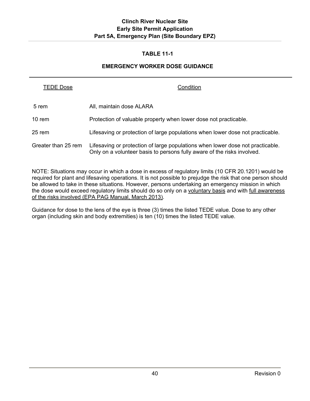### **TABLE 11-1**

#### **EMERGENCY WORKER DOSE GUIDANCE**

| <b>TEDE Dose</b>    | Condition                                                                                                                                                 |
|---------------------|-----------------------------------------------------------------------------------------------------------------------------------------------------------|
| 5 rem               | All, maintain dose ALARA                                                                                                                                  |
| 10 rem              | Protection of valuable property when lower dose not practicable.                                                                                          |
| 25 rem              | Lifesaving or protection of large populations when lower dose not practicable.                                                                            |
| Greater than 25 rem | Lifesaving or protection of large populations when lower dose not practicable.<br>Only on a volunteer basis to persons fully aware of the risks involved. |

NOTE: Situations may occur in which a dose in excess of regulatory limits (10 CFR 20.1201) would be required for plant and lifesaving operations. It is not possible to prejudge the risk that one person should be allowed to take in these situations. However, persons undertaking an emergency mission in which the dose would exceed regulatory limits should do so only on a voluntary basis and with full awareness of the risks involved (EPA PAG Manual, March 2013).

Guidance for dose to the lens of the eye is three (3) times the listed TEDE value. Dose to any other organ (including skin and body extremities) is ten (10) times the listed TEDE value.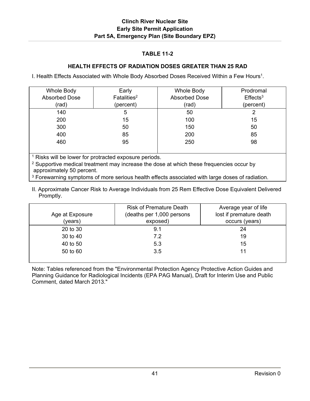### **TABLE 11-2**

## **HEALTH EFFECTS OF RADIATION DOSES GREATER THAN 25 RAD**

I. Health Effects Associated with Whole Body Absorbed Doses Received Within a Few Hours<sup>1</sup>.

| Whole Body<br><b>Absorbed Dose</b> | Early<br>Fatalities <sup>2</sup> | Whole Body<br><b>Absorbed Dose</b> | Prodromal<br>$E$ ffects <sup>3</sup> |
|------------------------------------|----------------------------------|------------------------------------|--------------------------------------|
| (rad)                              | (percent)                        | (rad)                              | (percent)                            |
| 140                                | 5                                | 50                                 |                                      |
| 200                                | 15                               | 100                                | 15                                   |
| 300                                | 50                               | 150                                | 50                                   |
| 400                                | 85                               | 200                                | 85                                   |
| 460                                | 95                               | 250                                | 98                                   |
|                                    |                                  |                                    |                                      |

<sup>1</sup> Risks will be lower for protracted exposure periods.

<sup>2</sup> Supportive medical treatment may increase the dose at which these frequencies occur by approximately 50 percent.

<sup>3</sup> Forewarning symptoms of more serious health effects associated with large doses of radiation.

II. Approximate Cancer Risk to Average Individuals from 25 Rem Effective Dose Equivalent Delivered Promptly.

| Age at Exposure<br>(years) | <b>Risk of Premature Death</b><br>(deaths per 1,000 persons<br>exposed) | Average year of life<br>lost if premature death<br>occurs (years) |
|----------------------------|-------------------------------------------------------------------------|-------------------------------------------------------------------|
| 20 to 30                   | 9.1                                                                     | 24                                                                |
| 30 to 40                   | 7.2                                                                     | 19                                                                |
| 40 to 50                   | 5.3                                                                     | 15                                                                |
| 50 to 60                   | 3.5                                                                     | 11                                                                |

Note: Tables referenced from the "Environmental Protection Agency Protective Action Guides and Planning Guidance for Radiological Incidents (EPA PAG Manual), Draft for Interim Use and Public Comment, dated March 2013."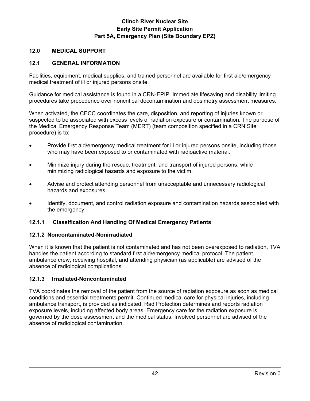## **12.0 MEDICAL SUPPORT**

# **12.1 GENERAL INFORMATION**

Facilities, equipment, medical supplies, and trained personnel are available for first aid/emergency medical treatment of ill or injured persons onsite.

Guidance for medical assistance is found in a CRN-EPIP. Immediate lifesaving and disability limiting procedures take precedence over noncritical decontamination and dosimetry assessment measures.

When activated, the CECC coordinates the care, disposition, and reporting of injuries known or suspected to be associated with excess levels of radiation exposure or contamination. The purpose of the Medical Emergency Response Team (MERT) (team composition specified in a CRN Site procedure) is to:

- Provide first aid/emergency medical treatment for ill or injured persons onsite, including those who may have been exposed to or contaminated with radioactive material.
- Minimize injury during the rescue, treatment, and transport of injured persons, while minimizing radiological hazards and exposure to the victim.
- Advise and protect attending personnel from unacceptable and unnecessary radiological hazards and exposures.
- Identify, document, and control radiation exposure and contamination hazards associated with the emergency.

## **12.1.1 Classification And Handling Of Medical Emergency Patients**

#### **12.1.2 Noncontaminated-Nonirradiated**

When it is known that the patient is not contaminated and has not been overexposed to radiation, TVA handles the patient according to standard first aid/emergency medical protocol. The patient, ambulance crew, receiving hospital, and attending physician (as applicable) are advised of the absence of radiological complications.

## **12.1.3 Irradiated-Noncontaminated**

TVA coordinates the removal of the patient from the source of radiation exposure as soon as medical conditions and essential treatments permit. Continued medical care for physical injuries, including ambulance transport, is provided as indicated. Rad Protection determines and reports radiation exposure levels, including affected body areas. Emergency care for the radiation exposure is governed by the dose assessment and the medical status. Involved personnel are advised of the absence of radiological contamination.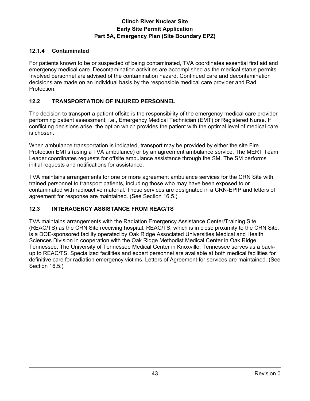## **12.1.4 Contaminated**

For patients known to be or suspected of being contaminated, TVA coordinates essential first aid and emergency medical care. Decontamination activities are accomplished as the medical status permits. Involved personnel are advised of the contamination hazard. Continued care and decontamination decisions are made on an individual basis by the responsible medical care provider and Rad Protection.

# **12.2 TRANSPORTATION OF INJURED PERSONNEL**

The decision to transport a patient offsite is the responsibility of the emergency medical care provider performing patient assessment, i.e., Emergency Medical Technician (EMT) or Registered Nurse. If conflicting decisions arise, the option which provides the patient with the optimal level of medical care is chosen.

When ambulance transportation is indicated, transport may be provided by either the site Fire Protection EMTs (using a TVA ambulance) or by an agreement ambulance service. The MERT Team Leader coordinates requests for offsite ambulance assistance through the SM. The SM performs initial requests and notifications for assistance.

TVA maintains arrangements for one or more agreement ambulance services for the CRN Site with trained personnel to transport patients, including those who may have been exposed to or contaminated with radioactive material. These services are designated in a CRN-EPIP and letters of agreement for response are maintained. (See Section 16.5.)

## **12.3 INTERAGENCY ASSISTANCE FROM REAC/TS**

TVA maintains arrangements with the Radiation Emergency Assistance Center/Training Site (REAC/TS) as the CRN Site receiving hospital. REAC/TS, which is in close proximity to the CRN Site, is a DOE-sponsored facility operated by Oak Ridge Associated Universities Medical and Health Sciences Division in cooperation with the Oak Ridge Methodist Medical Center in Oak Ridge, Tennessee. The University of Tennessee Medical Center in Knoxville, Tennessee serves as a backup to REAC/TS. Specialized facilities and expert personnel are available at both medical facilities for definitive care for radiation emergency victims. Letters of Agreement for services are maintained. (See Section 16.5.)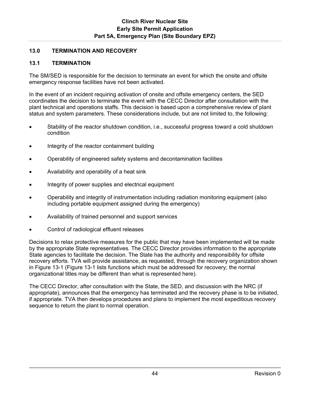## **13.0 TERMINATION AND RECOVERY**

## **13.1 TERMINATION**

The SM/SED is responsible for the decision to terminate an event for which the onsite and offsite emergency response facilities have not been activated.

In the event of an incident requiring activation of onsite and offsite emergency centers, the SED coordinates the decision to terminate the event with the CECC Director after consultation with the plant technical and operations staffs. This decision is based upon a comprehensive review of plant status and system parameters. These considerations include, but are not limited to, the following:

- Stability of the reactor shutdown condition, i.e., successful progress toward a cold shutdown condition
- Integrity of the reactor containment building
- Operability of engineered safety systems and decontamination facilities
- Availability and operability of a heat sink
- Integrity of power supplies and electrical equipment
- Operability and integrity of instrumentation including radiation monitoring equipment (also including portable equipment assigned during the emergency)
- Availability of trained personnel and support services
- Control of radiological effluent releases

Decisions to relax protective measures for the public that may have been implemented will be made by the appropriate State representatives. The CECC Director provides information to the appropriate State agencies to facilitate the decision. The State has the authority and responsibility for offsite recovery efforts. TVA will provide assistance, as requested, through the recovery organization shown in Figure 13-1 (Figure 13-1 lists functions which must be addressed for recovery; the normal organizational titles may be different than what is represented here).

The CECC Director, after consultation with the State, the SED, and discussion with the NRC (if appropriate), announces that the emergency has terminated and the recovery phase is to be initiated, if appropriate. TVA then develops procedures and plans to implement the most expeditious recovery sequence to return the plant to normal operation.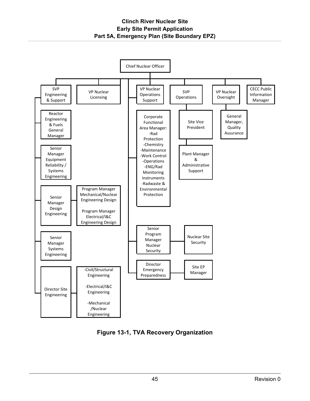**Clinch River Nuclear Site Early Site Permit Application Part 5A, Emergency Plan (Site Boundary EPZ)**



**Figure 13-1, TVA Recovery Organization**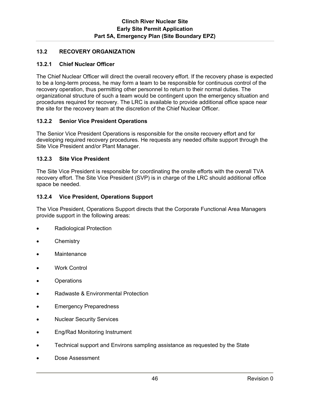## **13.2 RECOVERY ORGANIZATION**

### **13.2.1 Chief Nuclear Officer**

The Chief Nuclear Officer will direct the overall recovery effort. If the recovery phase is expected to be a long-term process, he may form a team to be responsible for continuous control of the recovery operation, thus permitting other personnel to return to their normal duties. The organizational structure of such a team would be contingent upon the emergency situation and procedures required for recovery. The LRC is available to provide additional office space near the site for the recovery team at the discretion of the Chief Nuclear Officer.

#### **13.2.2 Senior Vice President Operations**

The Senior Vice President Operations is responsible for the onsite recovery effort and for developing required recovery procedures. He requests any needed offsite support through the Site Vice President and/or Plant Manager.

#### **13.2.3 Site Vice President**

The Site Vice President is responsible for coordinating the onsite efforts with the overall TVA recovery effort. The Site Vice President (SVP) is in charge of the LRC should additional office space be needed.

#### **13.2.4 Vice President, Operations Support**

The Vice President, Operations Support directs that the Corporate Functional Area Managers provide support in the following areas:

- Radiological Protection
- **Chemistry**
- **Maintenance**
- Work Control
- **Operations**
- Radwaste & Environmental Protection
- Emergency Preparedness
- Nuclear Security Services
- Eng/Rad Monitoring Instrument
- Technical support and Environs sampling assistance as requested by the State
- Dose Assessment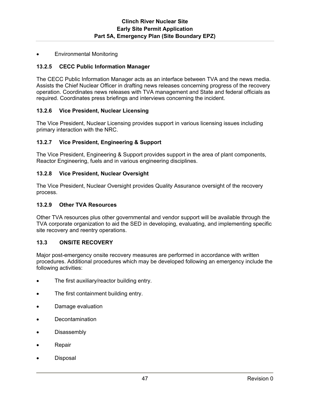Environmental Monitoring

#### **13.2.5 CECC Public Information Manager**

The CECC Public Information Manager acts as an interface between TVA and the news media. Assists the Chief Nuclear Officer in drafting news releases concerning progress of the recovery operation. Coordinates news releases with TVA management and State and federal officials as required. Coordinates press briefings and interviews concerning the incident.

#### **13.2.6 Vice President, Nuclear Licensing**

The Vice President, Nuclear Licensing provides support in various licensing issues including primary interaction with the NRC.

#### **13.2.7 Vice President, Engineering & Support**

The Vice President, Engineering & Support provides support in the area of plant components, Reactor Engineering, fuels and in various engineering disciplines.

#### **13.2.8 Vice President, Nuclear Oversight**

The Vice President, Nuclear Oversight provides Quality Assurance oversight of the recovery process.

#### **13.2.9 Other TVA Resources**

Other TVA resources plus other governmental and vendor support will be available through the TVA corporate organization to aid the SED in developing, evaluating, and implementing specific site recovery and reentry operations.

#### **13.3 ONSITE RECOVERY**

Major post-emergency onsite recovery measures are performed in accordance with written procedures. Additional procedures which may be developed following an emergency include the following activities:

- The first auxiliary/reactor building entry.
- The first containment building entry.
- Damage evaluation
- Decontamination
- **•** Disassembly
- Repair
- Disposal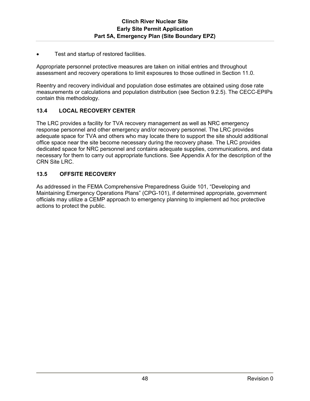Test and startup of restored facilities.

Appropriate personnel protective measures are taken on initial entries and throughout assessment and recovery operations to limit exposures to those outlined in Section 11.0.

Reentry and recovery individual and population dose estimates are obtained using dose rate measurements or calculations and population distribution (see Section 9.2.5). The CECC-EPIPs contain this methodology.

## **13.4 LOCAL RECOVERY CENTER**

The LRC provides a facility for TVA recovery management as well as NRC emergency response personnel and other emergency and/or recovery personnel. The LRC provides adequate space for TVA and others who may locate there to support the site should additional office space near the site become necessary during the recovery phase. The LRC provides dedicated space for NRC personnel and contains adequate supplies, communications, and data necessary for them to carry out appropriate functions. See Appendix A for the description of the CRN Site LRC.

# **13.5 OFFSITE RECOVERY**

As addressed in the FEMA Comprehensive Preparedness Guide 101, "Developing and Maintaining Emergency Operations Plans" (CPG-101), if determined appropriate, government officials may utilize a CEMP approach to emergency planning to implement ad hoc protective actions to protect the public.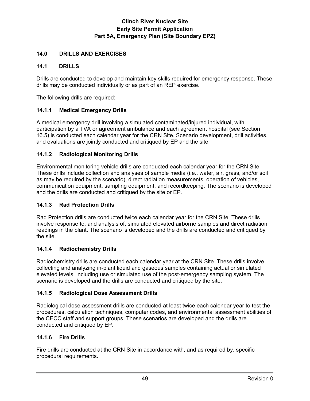## **14.0 DRILLS AND EXERCISES**

### **14.1 DRILLS**

Drills are conducted to develop and maintain key skills required for emergency response. These drills may be conducted individually or as part of an REP exercise.

The following drills are required:

## **14.1.1 Medical Emergency Drills**

A medical emergency drill involving a simulated contaminated/injured individual, with participation by a TVA or agreement ambulance and each agreement hospital (see Section 16.5) is conducted each calendar year for the CRN Site. Scenario development, drill activities, and evaluations are jointly conducted and critiqued by EP and the site.

#### **14.1.2 Radiological Monitoring Drills**

Environmental monitoring vehicle drills are conducted each calendar year for the CRN Site. These drills include collection and analyses of sample media (i.e., water, air, grass, and/or soil as may be required by the scenario), direct radiation measurements, operation of vehicles, communication equipment, sampling equipment, and recordkeeping. The scenario is developed and the drills are conducted and critiqued by the site or EP.

#### **14.1.3 Rad Protection Drills**

Rad Protection drills are conducted twice each calendar year for the CRN Site. These drills involve response to, and analysis of, simulated elevated airborne samples and direct radiation readings in the plant. The scenario is developed and the drills are conducted and critiqued by the site.

#### **14.1.4 Radiochemistry Drills**

Radiochemistry drills are conducted each calendar year at the CRN Site. These drills involve collecting and analyzing in-plant liquid and gaseous samples containing actual or simulated elevated levels, including use or simulated use of the post-emergency sampling system. The scenario is developed and the drills are conducted and critiqued by the site.

#### **14.1.5 Radiological Dose Assessment Drills**

Radiological dose assessment drills are conducted at least twice each calendar year to test the procedures, calculation techniques, computer codes, and environmental assessment abilities of the CECC staff and support groups. These scenarios are developed and the drills are conducted and critiqued by EP.

#### **14.1.6 Fire Drills**

Fire drills are conducted at the CRN Site in accordance with, and as required by, specific procedural requirements.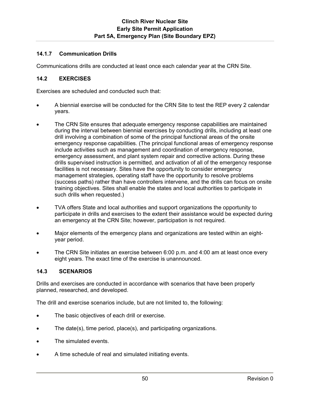## **14.1.7 Communication Drills**

Communications drills are conducted at least once each calendar year at the CRN Site.

#### **14.2 EXERCISES**

Exercises are scheduled and conducted such that:

- A biennial exercise will be conducted for the CRN Site to test the REP every 2 calendar years.
- The CRN Site ensures that adequate emergency response capabilities are maintained during the interval between biennial exercises by conducting drills, including at least one drill involving a combination of some of the principal functional areas of the onsite emergency response capabilities. (The principal functional areas of emergency response include activities such as management and coordination of emergency response, emergency assessment, and plant system repair and corrective actions. During these drills supervised instruction is permitted, and activation of all of the emergency response facilities is not necessary. Sites have the opportunity to consider emergency management strategies, operating staff have the opportunity to resolve problems (success paths) rather than have controllers intervene, and the drills can focus on onsite training objectives. Sites shall enable the states and local authorities to participate in such drills when requested.)
- TVA offers State and local authorities and support organizations the opportunity to participate in drills and exercises to the extent their assistance would be expected during an emergency at the CRN Site; however, participation is not required.
- Major elements of the emergency plans and organizations are tested within an eightyear period.
- The CRN Site initiates an exercise between 6:00 p.m. and 4:00 am at least once every eight years. The exact time of the exercise is unannounced.

#### **14.3 SCENARIOS**

Drills and exercises are conducted in accordance with scenarios that have been properly planned, researched, and developed.

The drill and exercise scenarios include, but are not limited to, the following:

- The basic objectives of each drill or exercise.
- The date(s), time period, place(s), and participating organizations.
- The simulated events.
- A time schedule of real and simulated initiating events.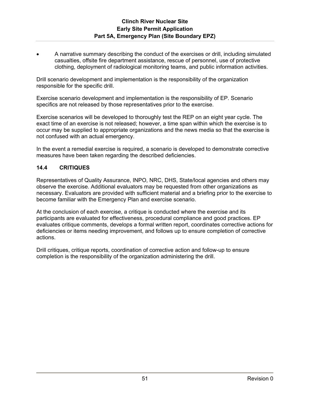A narrative summary describing the conduct of the exercises or drill, including simulated casualties, offsite fire department assistance, rescue of personnel, use of protective clothing, deployment of radiological monitoring teams, and public information activities.

Drill scenario development and implementation is the responsibility of the organization responsible for the specific drill.

Exercise scenario development and implementation is the responsibility of EP. Scenario specifics are not released by those representatives prior to the exercise.

Exercise scenarios will be developed to thoroughly test the REP on an eight year cycle. The exact time of an exercise is not released; however, a time span within which the exercise is to occur may be supplied to appropriate organizations and the news media so that the exercise is not confused with an actual emergency.

In the event a remedial exercise is required, a scenario is developed to demonstrate corrective measures have been taken regarding the described deficiencies.

## **14.4 CRITIQUES**

Representatives of Quality Assurance, INPO, NRC, DHS, State/local agencies and others may observe the exercise. Additional evaluators may be requested from other organizations as necessary. Evaluators are provided with sufficient material and a briefing prior to the exercise to become familiar with the Emergency Plan and exercise scenario.

At the conclusion of each exercise, a critique is conducted where the exercise and its participants are evaluated for effectiveness, procedural compliance and good practices. EP evaluates critique comments, develops a formal written report, coordinates corrective actions for deficiencies or items needing improvement, and follows up to ensure completion of corrective actions.

Drill critiques, critique reports, coordination of corrective action and follow-up to ensure completion is the responsibility of the organization administering the drill.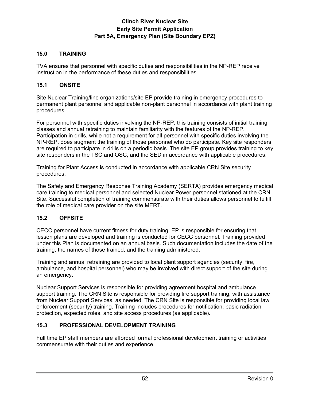## **15.0 TRAINING**

TVA ensures that personnel with specific duties and responsibilities in the NP-REP receive instruction in the performance of these duties and responsibilities.

### **15.1 ONSITE**

Site Nuclear Training/line organizations/site EP provide training in emergency procedures to permanent plant personnel and applicable non-plant personnel in accordance with plant training procedures.

For personnel with specific duties involving the NP-REP, this training consists of initial training classes and annual retraining to maintain familiarity with the features of the NP-REP. Participation in drills, while not a requirement for all personnel with specific duties involving the NP-REP, does augment the training of those personnel who do participate. Key site responders are required to participate in drills on a periodic basis. The site EP group provides training to key site responders in the TSC and OSC, and the SED in accordance with applicable procedures.

Training for Plant Access is conducted in accordance with applicable CRN Site security procedures.

The Safety and Emergency Response Training Academy (SERTA) provides emergency medical care training to medical personnel and selected Nuclear Power personnel stationed at the CRN Site. Successful completion of training commensurate with their duties allows personnel to fulfill the role of medical care provider on the site MERT.

## **15.2 OFFSITE**

CECC personnel have current fitness for duty training. EP is responsible for ensuring that lesson plans are developed and training is conducted for CECC personnel. Training provided under this Plan is documented on an annual basis. Such documentation includes the date of the training, the names of those trained, and the training administered.

Training and annual retraining are provided to local plant support agencies (security, fire, ambulance, and hospital personnel) who may be involved with direct support of the site during an emergency.

Nuclear Support Services is responsible for providing agreement hospital and ambulance support training. The CRN Site is responsible for providing fire support training, with assistance from Nuclear Support Services, as needed. The CRN Site is responsible for providing local law enforcement (security) training. Training includes procedures for notification, basic radiation protection, expected roles, and site access procedures (as applicable).

## **15.3 PROFESSIONAL DEVELOPMENT TRAINING**

Full time EP staff members are afforded formal professional development training or activities commensurate with their duties and experience.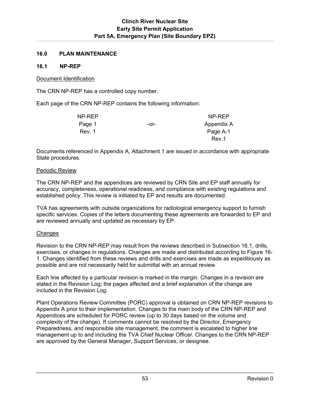### **16.0 PLAN MAINTENANCE**

#### **16.1 NP-REP**

#### Document Identification

The CRN NP-REP has a controlled copy number.

Each page of the CRN NP-REP contains the following information:

| NP-REP |      | NP-REP     |
|--------|------|------------|
| Page 1 | -or- | Appendix A |
| Rev. 1 |      | Page A-1   |
|        |      | Rev.1      |

Documents referenced in Appendix A, Attachment 1 are issued in accordance with appropriate State procedures.

#### Periodic Review

The CRN NP-REP and the appendices are reviewed by CRN Site and EP staff annually for accuracy, completeness, operational readiness, and compliance with existing regulations and established policy. This review is initiated by EP and results are documented.

TVA has agreements with outside organizations for radiological emergency support to furnish specific services. Copies of the letters documenting these agreements are forwarded to EP and are reviewed annually and updated as necessary by EP.

#### Changes

Revision to the CRN NP-REP may result from the reviews described in Subsection 16.1, drills, exercises, or changes in regulations. Changes are made and distributed according to Figure 16- 1. Changes identified from these reviews and drills and exercises are made as expeditiously as possible and are not necessarily held for submittal with an annual review.

Each line affected by a particular revision is marked in the margin. Changes in a revision are stated in the Revision Log; the pages affected and a brief explanation of the change are included in the Revision Log.

Plant Operations Review Committee (PORC) approval is obtained on CRN NP-REP revisions to Appendix A prior to their implementation. Changes to the main body of the CRN NP-REP and Appendices are scheduled for PORC review (up to 30 days based on the volume and complexity of the change). If comments cannot be resolved by the Director, Emergency Preparedness, and responsible site management, the comment is escalated to higher line management up to and including the TVA Chief Nuclear Officer. Changes to the CRN NP-REP are approved by the General Manager, Support Services, or designee.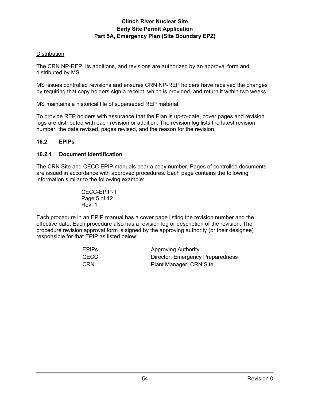### **Distribution**

The CRN NP-REP, its additions, and revisions are authorized by an approval form and distributed by MS.

MS issues controlled revisions and ensures CRN NP-REP holders have received the changes by requiring that copy holders sign a receipt, which is provided, and return it within two weeks.

MS maintains a historical file of superseded REP material.

To provide REP holders with assurance that the Plan is up-to-date, cover pages and revision logs are distributed with each revision or addition. The revision log lists the latest revision number, the date revised, pages revised, and the reason for the revision.

#### **16.2 EPIPs**

#### **16.2.1 Document Identification**

The CRN Site and CECC EPIP manuals bear a copy number. Pages of controlled documents are issued in accordance with approved procedures. Each page contains the following information similar to the following example:

> CECC-EPIP-1 Page 5 of 12 Rev. 1

Each procedure in an EPIP manual has a cover page listing the revision number and the effective date. Each procedure also has a revision log or description of the revision. The procedure revision approval form is signed by the approving authority (or their designee) responsible for that EPIP as listed below:

| EPIPs      | <b>Approving Authority</b>       |
|------------|----------------------------------|
| CECC       | Director, Emergency Preparedness |
| <b>CRN</b> | Plant Manager, CRN Site          |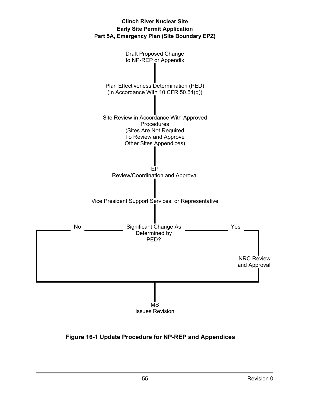

**Figure 16-1 Update Procedure for NP-REP and Appendices**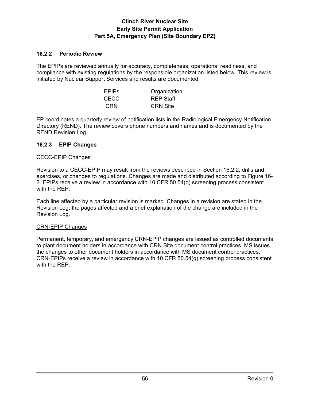## **16.2.2 Periodic Review**

The EPIPs are reviewed annually for accuracy, completeness, operational readiness, and compliance with existing regulations by the responsible organization listed below. This review is initiated by Nuclear Support Services and results are documented.

| <b>EPIPS</b> | Organization     |
|--------------|------------------|
| CECC.        | <b>REP Staff</b> |
| CRN          | <b>CRN Site</b>  |

EP coordinates a quarterly review of notification lists in the Radiological Emergency Notification Directory (REND). The review covers phone numbers and names and is documented by the REND Revision Log.

#### **16.2.3 EPIP Changes**

#### CECC-EPIP Changes

Revision to a CECC-EPIP may result from the reviews described in Section 16.2.2, drills and exercises, or changes to regulations. Changes are made and distributed according to Figure 16- 2. EPIPs receive a review in accordance with 10 CFR 50.54(q) screening process consistent with the REP.

Each line affected by a particular revision is marked. Changes in a revision are stated in the Revision Log; the pages affected and a brief explanation of the change are included in the Revision Log.

#### CRN-EPIP Changes

Permanent, temporary, and emergency CRN-EPIP changes are issued as controlled documents to plant document holders in accordance with CRN Site document control practices. MS issues the changes to other document holders in accordance with MS document control practices. CRN-EPIPs receive a review in accordance with 10 CFR 50.54(q) screening process consistent with the REP.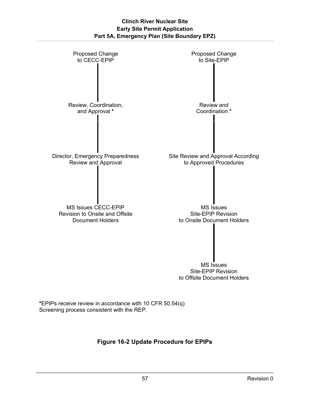

**\***EPIPs receive review in accordance with 10 CFR 50.54(q) Screening process consistent with the REP.

**Figure 16-2 Update Procedure for EPIPs**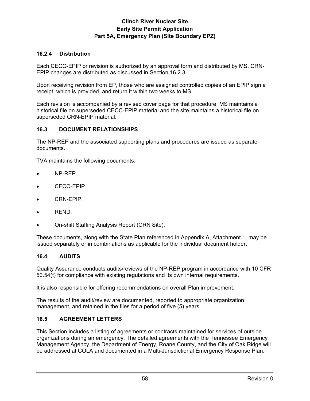## **16.2.4 Distribution**

Each CECC-EPIP or revision is authorized by an approval form and distributed by MS. CRN-EPIP changes are distributed as discussed in Section 16.2.3.

Upon receiving revision from EP, those who are assigned controlled copies of an EPIP sign a receipt, which is provided, and return it within two weeks to MS.

Each revision is accompanied by a revised cover page for that procedure. MS maintains a historical file on superseded CECC-EPIP material and the site maintains a historical file on superseded CRN-EPIP material.

## **16.3 DOCUMENT RELATIONSHIPS**

The NP-REP and the associated supporting plans and procedures are issued as separate documents.

TVA maintains the following documents:

- NP-REP.
- CECC-EPIP.
- CRN-EPIP.
- REND.
- On-shift Staffing Analysis Report (CRN Site).

These documents, along with the State Plan referenced in Appendix A, Attachment 1, may be issued separately or in combinations as applicable for the individual document holder.

#### **16.4 AUDITS**

Quality Assurance conducts audits/reviews of the NP-REP program in accordance with 10 CFR 50.54(t) for compliance with existing regulations and its own internal requirements.

It is also responsible for offering recommendations on overall Plan improvement.

The results of the audit/review are documented, reported to appropriate organization management, and retained in the files for a period of five (5) years.

#### **16.5 AGREEMENT LETTERS**

This Section includes a listing of agreements or contracts maintained for services of outside organizations during an emergency. The detailed agreements with the Tennessee Emergency Management Agency, the Department of Energy, Roane County, and the City of Oak Ridge will be addressed at COLA and documented in a Multi-Jurisdictional Emergency Response Plan.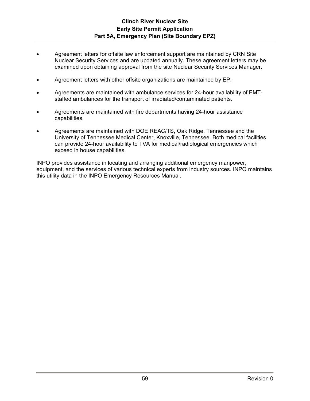- Agreement letters for offsite law enforcement support are maintained by CRN Site Nuclear Security Services and are updated annually. These agreement letters may be examined upon obtaining approval from the site Nuclear Security Services Manager.
- Agreement letters with other offsite organizations are maintained by EP.
- Agreements are maintained with ambulance services for 24-hour availability of EMTstaffed ambulances for the transport of irradiated/contaminated patients.
- Agreements are maintained with fire departments having 24-hour assistance capabilities.
- Agreements are maintained with DOE REAC/TS, Oak Ridge, Tennessee and the University of Tennessee Medical Center, Knoxville, Tennessee. Both medical facilities can provide 24-hour availability to TVA for medical/radiological emergencies which exceed in house capabilities.

INPO provides assistance in locating and arranging additional emergency manpower, equipment, and the services of various technical experts from industry sources. INPO maintains this utility data in the INPO Emergency Resources Manual.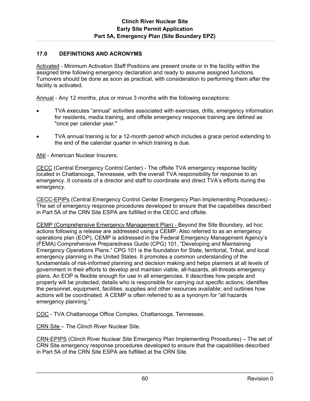#### **17.0 DEFINITIONS AND ACRONYMS**

Activated - Minimum Activation Staff Positions are present onsite or in the facility within the assigned time following emergency declaration and ready to assume assigned functions. Turnovers should be done as soon as practical, with consideration to performing them after the facility is activated.

Annual - Any 12 months, plus or minus 3 months with the following exceptions:

- TVA executes "annual" activities associated with exercises, drills, emergency information for residents, media training, and offsite emergency response training are defined as "once per calendar year."
- TVA annual training is for a 12-month period which includes a grace period extending to the end of the calendar quarter in which training is due.

ANI - American Nuclear Insurers.

CECC (Central Emergency Control Center) - The offsite TVA emergency response facility located in Chattanooga, Tennessee, with the overall TVA responsibility for response to an emergency. It consists of a director and staff to coordinate and direct TVA's efforts during the emergency.

CECC-EPIPs (Central Emergency Control Center Emergency Plan Implementing Procedures) - The set of emergency response procedures developed to ensure that the capabilities described in Part 5A of the CRN Site ESPA are fulfilled in the CECC and offsite.

CEMP (Comprehensive Emergency Management Plan) - Beyond the Site Boundary, ad hoc actions following a release are addressed using a CEMP. Also referred to as an emergency operations plan (EOP), CEMP is addressed in the Federal Emergency Management Agency's (FEMA) Comprehensive Preparedness Guide (CPG) 101, "Developing and Maintaining Emergency Operations Plans." CPG 101 is the foundation for State, territorial, Tribal, and local emergency planning in the United States. It promotes a common understanding of the fundamentals of risk-informed planning and decision making and helps planners at all levels of government in their efforts to develop and maintain viable, all-hazards, all-threats emergency plans. An EOP is flexible enough for use in all emergencies. It describes how people and property will be protected; details who is responsible for carrying out specific actions; identifies the personnel, equipment, facilities, supplies and other resources available; and outlines how actions will be coordinated. A CEMP is often referred to as a synonym for "all hazards emergency planning."

COC - TVA Chattanooga Office Complex, Chattanooga, Tennessee.

CRN Site – The Clinch River Nuclear Site.

CRN-EPIPS (Clinch River Nuclear Site Emergency Plan Implementing Procedures) – The set of CRN Site emergency response procedures developed to ensure that the capabilities described in Part 5A of the CRN Site ESPA are fulfilled at the CRN Site.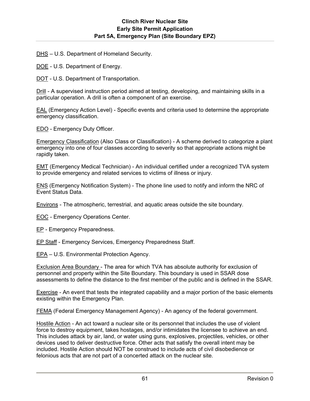DHS – U.S. Department of Homeland Security.

DOE - U.S. Department of Energy.

DOT - U.S. Department of Transportation.

Drill - A supervised instruction period aimed at testing, developing, and maintaining skills in a particular operation. A drill is often a component of an exercise.

EAL (Emergency Action Level) - Specific events and criteria used to determine the appropriate emergency classification.

EDO - Emergency Duty Officer.

Emergency Classification (Also Class or Classification) - A scheme derived to categorize a plant emergency into one of four classes according to severity so that appropriate actions might be rapidly taken.

EMT (Emergency Medical Technician) - An individual certified under a recognized TVA system to provide emergency and related services to victims of illness or injury.

ENS (Emergency Notification System) - The phone line used to notify and inform the NRC of Event Status Data.

Environs - The atmospheric, terrestrial, and aquatic areas outside the site boundary.

EOC - Emergency Operations Center.

EP - Emergency Preparedness.

EP Staff - Emergency Services, Emergency Preparedness Staff.

EPA – U.S. Environmental Protection Agency.

Exclusion Area Boundary - The area for which TVA has absolute authority for exclusion of personnel and property within the Site Boundary. This boundary is used in SSAR dose assessments to define the distance to the first member of the public and is defined in the SSAR.

Exercise - An event that tests the integrated capability and a major portion of the basic elements existing within the Emergency Plan.

FEMA (Federal Emergency Management Agency) - An agency of the federal government.

Hostile Action - An act toward a nuclear site or its personnel that includes the use of violent force to destroy equipment, takes hostages, and/or intimidates the licensee to achieve an end. This includes attack by air, land, or water using guns, explosives, projectiles, vehicles, or other devices used to deliver destructive force. Other acts that satisfy the overall intent may be included. Hostile Action should NOT be construed to include acts of civil disobedience or felonious acts that are not part of a concerted attack on the nuclear site.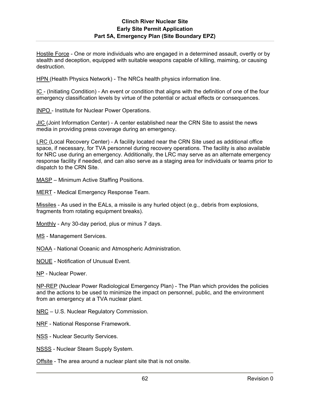Hostile Force - One or more individuals who are engaged in a determined assault, overtly or by stealth and deception, equipped with suitable weapons capable of killing, maiming, or causing destruction.

HPN (Health Physics Network) - The NRCs health physics information line.

IC - (Initiating Condition) - An event or condition that aligns with the definition of one of the four emergency classification levels by virtue of the potential or actual effects or consequences.

INPO - Institute for Nuclear Power Operations.

JIC (Joint Information Center) - A center established near the CRN Site to assist the news media in providing press coverage during an emergency.

LRC (Local Recovery Center) - A facility located near the CRN Site used as additional office space, if necessary, for TVA personnel during recovery operations. The facility is also available for NRC use during an emergency. Additionally, the LRC may serve as an alternate emergency response facility if needed, and can also serve as a staging area for individuals or teams prior to dispatch to the CRN Site.

MASP – Minimum Active Staffing Positions.

MERT - Medical Emergency Response Team.

Missiles - As used in the EALs, a missile is any hurled object (e.g., debris from explosions, fragments from rotating equipment breaks).

Monthly - Any 30-day period, plus or minus 7 days.

MS - Management Services.

NOAA - National Oceanic and Atmospheric Administration.

NOUE - Notification of Unusual Event.

NP - Nuclear Power.

NP-REP (Nuclear Power Radiological Emergency Plan) - The Plan which provides the policies and the actions to be used to minimize the impact on personnel, public, and the environment from an emergency at a TVA nuclear plant.

NRC – U.S. Nuclear Regulatory Commission.

NRF - National Response Framework.

NSS - Nuclear Security Services.

NSSS - Nuclear Steam Supply System.

Offsite - The area around a nuclear plant site that is not onsite.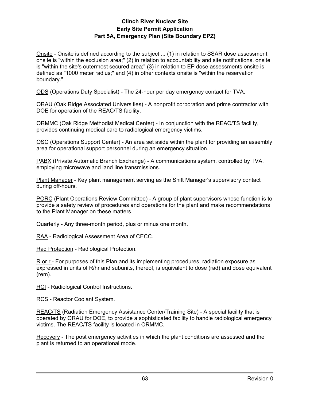## **Clinch River Nuclear Site Early Site Permit Application Part 5A, Emergency Plan (Site Boundary EPZ)**

Onsite - Onsite is defined according to the subject ... (1) in relation to SSAR dose assessment, onsite is "within the exclusion area;" (2) in relation to accountability and site notifications, onsite is "within the site's outermost secured area;" (3) in relation to EP dose assessments onsite is defined as "1000 meter radius;" and (4) in other contexts onsite is "within the reservation boundary."

ODS (Operations Duty Specialist) - The 24-hour per day emergency contact for TVA.

ORAU (Oak Ridge Associated Universities) - A nonprofit corporation and prime contractor with DOE for operation of the REAC/TS facility.

ORMMC (Oak Ridge Methodist Medical Center) - In conjunction with the REAC/TS facility, provides continuing medical care to radiological emergency victims.

OSC (Operations Support Center) - An area set aside within the plant for providing an assembly area for operational support personnel during an emergency situation.

PABX (Private Automatic Branch Exchange) - A communications system, controlled by TVA, employing microwave and land line transmissions.

Plant Manager - Key plant management serving as the Shift Manager's supervisory contact during off-hours.

PORC (Plant Operations Review Committee) - A group of plant supervisors whose function is to provide a safety review of procedures and operations for the plant and make recommendations to the Plant Manager on these matters.

Quarterly - Any three-month period, plus or minus one month.

RAA - Radiological Assessment Area of CECC.

Rad Protection - Radiological Protection.

R or r - For purposes of this Plan and its implementing procedures, radiation exposure as expressed in units of R/hr and subunits, thereof, is equivalent to dose (rad) and dose equivalent (rem).

RCI - Radiological Control Instructions.

RCS - Reactor Coolant System.

REAC/TS (Radiation Emergency Assistance Center/Training Site) - A special facility that is operated by ORAU for DOE, to provide a sophisticated facility to handle radiological emergency victims. The REAC/TS facility is located in ORMMC.

Recovery - The post emergency activities in which the plant conditions are assessed and the plant is returned to an operational mode.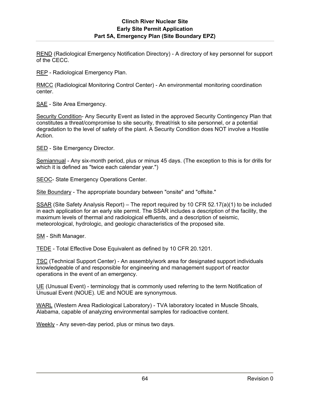REND (Radiological Emergency Notification Directory) - A directory of key personnel for support of the CECC.

REP - Radiological Emergency Plan.

RMCC (Radiological Monitoring Control Center) - An environmental monitoring coordination center.

SAE - Site Area Emergency.

Security Condition- Any Security Event as listed in the approved Security Contingency Plan that constitutes a threat/compromise to site security, threat/risk to site personnel, or a potential degradation to the level of safety of the plant. A Security Condition does NOT involve a Hostile Action.

SED - Site Emergency Director.

Semiannual - Any six-month period, plus or minus 45 days. (The exception to this is for drills for which it is defined as "twice each calendar year.")

SEOC- State Emergency Operations Center.

Site Boundary - The appropriate boundary between "onsite" and "offsite."

SSAR (Site Safety Analysis Report) – The report required by 10 CFR 52.17(a)(1) to be included in each application for an early site permit. The SSAR includes a description of the facility, the maximum levels of thermal and radiological effluents, and a description of seismic, meteorological, hydrologic, and geologic characteristics of the proposed site.

SM - Shift Manager.

TEDE - Total Effective Dose Equivalent as defined by 10 CFR 20.1201.

TSC (Technical Support Center) - An assembly/work area for designated support individuals knowledgeable of and responsible for engineering and management support of reactor operations in the event of an emergency.

UE (Unusual Event) - terminology that is commonly used referring to the term Notification of Unusual Event (NOUE). UE and NOUE are synonymous.

WARL (Western Area Radiological Laboratory) - TVA laboratory located in Muscle Shoals, Alabama, capable of analyzing environmental samples for radioactive content.

Weekly - Any seven-day period, plus or minus two days.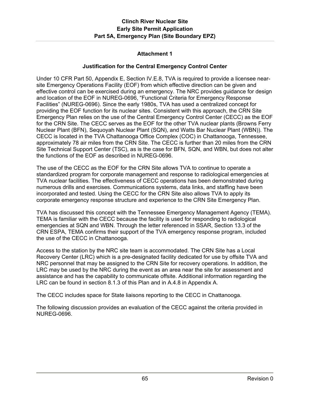## **Attachment 1**

#### **Justification for the Central Emergency Control Center**

Under 10 CFR Part 50, Appendix E, Section IV.E.8, TVA is required to provide a licensee nearsite Emergency Operations Facility (EOF) from which effective direction can be given and effective control can be exercised during an emergency. The NRC provides guidance for design and location of the EOF in NUREG-0696, "Functional Criteria for Emergency Response Facilities" (NUREG-0696). Since the early 1980s, TVA has used a centralized concept for providing the EOF function for its nuclear sites. Consistent with this approach, the CRN Site Emergency Plan relies on the use of the Central Emergency Control Center (CECC) as the EOF for the CRN Site. The CECC serves as the EOF for the other TVA nuclear plants (Browns Ferry Nuclear Plant (BFN), Sequoyah Nuclear Plant (SQN), and Watts Bar Nuclear Plant (WBN)). The CECC is located in the TVA Chattanooga Office Complex (COC) in Chattanooga, Tennessee, approximately 78 air miles from the CRN Site. The CECC is further than 20 miles from the CRN Site Technical Support Center (TSC), as is the case for BFN, SQN, and WBN, but does not alter the functions of the EOF as described in NUREG-0696.

The use of the CECC as the EOF for the CRN Site allows TVA to continue to operate a standardized program for corporate management and response to radiological emergencies at TVA nuclear facilities. The effectiveness of CECC operations has been demonstrated during numerous drills and exercises. Communications systems, data links, and staffing have been incorporated and tested. Using the CECC for the CRN Site also allows TVA to apply its corporate emergency response structure and experience to the CRN Site Emergency Plan.

TVA has discussed this concept with the Tennessee Emergency Management Agency (TEMA). TEMA is familiar with the CECC because the facility is used for responding to radiological emergencies at SQN and WBN. Through the letter referenced in SSAR, Section 13.3 of the CRN ESPA, TEMA confirms their support of the TVA emergency response program, included the use of the CECC in Chattanooga.

Access to the station by the NRC site team is accommodated. The CRN Site has a Local Recovery Center (LRC) which is a pre-designated facility dedicated for use by offsite TVA and NRC personnel that may be assigned to the CRN Site for recovery operations. In addition, the LRC may be used by the NRC during the event as an area near the site for assessment and assistance and has the capability to communicate offsite. Additional information regarding the LRC can be found in section 8.1.3 of this Plan and in A.4.8 in Appendix A.

The CECC includes space for State liaisons reporting to the CECC in Chattanooga.

The following discussion provides an evaluation of the CECC against the criteria provided in NUREG-0696.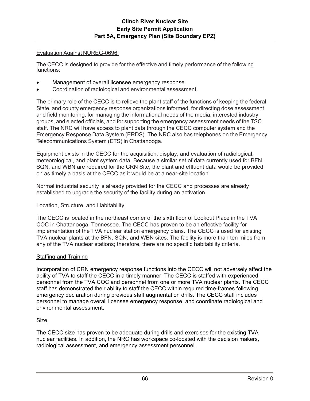#### Evaluation Against NUREG-0696:

The CECC is designed to provide for the effective and timely performance of the following functions:

- Management of overall licensee emergency response.
- Coordination of radiological and environmental assessment.

The primary role of the CECC is to relieve the plant staff of the functions of keeping the federal, State, and county emergency response organizations informed, for directing dose assessment and field monitoring, for managing the informational needs of the media, interested industry groups, and elected officials, and for supporting the emergency assessment needs of the TSC staff. The NRC will have access to plant data through the CECC computer system and the Emergency Response Data System (ERDS). The NRC also has telephones on the Emergency Telecommunications System (ETS) in Chattanooga.

Equipment exists in the CECC for the acquisition, display, and evaluation of radiological, meteorological, and plant system data. Because a similar set of data currently used for BFN, SQN, and WBN are required for the CRN Site, the plant and effluent data would be provided on as timely a basis at the CECC as it would be at a near-site location.

Normal industrial security is already provided for the CECC and processes are already established to upgrade the security of the facility during an activation.

## Location, Structure, and Habitability

The CECC is located in the northeast corner of the sixth floor of Lookout Place in the TVA COC in Chattanooga, Tennessee. The CECC has proven to be an effective facility for implementation of the TVA nuclear station emergency plans. The CECC is used for existing TVA nuclear plants at the BFN, SQN, and WBN sites. The facility is more than ten miles from any of the TVA nuclear stations; therefore, there are no specific habitability criteria.

## Staffing and Training

Incorporation of CRN emergency response functions into the CECC will not adversely affect the ability of TVA to staff the CECC in a timely manner. The CECC is staffed with experienced personnel from the TVA COC and personnel from one or more TVA nuclear plants. The CECC staff has demonstrated their ability to staff the CECC within required time-frames following emergency declaration during previous staff augmentation drills. The CECC staff includes personnel to manage overall licensee emergency response, and coordinate radiological and environmental assessment.

## Size

The CECC size has proven to be adequate during drills and exercises for the existing TVA nuclear facilities. In addition, the NRC has workspace co-located with the decision makers, radiological assessment, and emergency assessment personnel.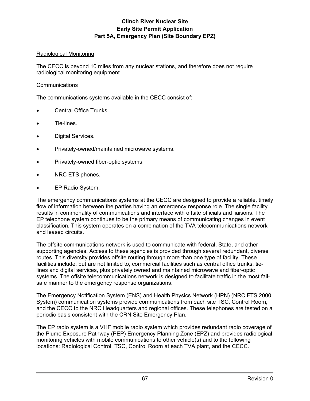## Radiological Monitoring

The CECC is beyond 10 miles from any nuclear stations, and therefore does not require radiological monitoring equipment.

### **Communications**

The communications systems available in the CECC consist of:

- Central Office Trunks.
- Tie-lines.
- Digital Services.
- Privately-owned/maintained microwave systems.
- Privately-owned fiber-optic systems.
- NRC ETS phones.
- EP Radio System.

The emergency communications systems at the CECC are designed to provide a reliable, timely flow of information between the parties having an emergency response role. The single facility results in commonality of communications and interface with offsite officials and liaisons. The EP telephone system continues to be the primary means of communicating changes in event classification. This system operates on a combination of the TVA telecommunications network and leased circuits.

The offsite communications network is used to communicate with federal, State, and other supporting agencies. Access to these agencies is provided through several redundant, diverse routes. This diversity provides offsite routing through more than one type of facility. These facilities include, but are not limited to, commercial facilities such as central office trunks, tielines and digital services, plus privately owned and maintained microwave and fiber-optic systems. The offsite telecommunications network is designed to facilitate traffic in the most failsafe manner to the emergency response organizations.

The Emergency Notification System (ENS) and Health Physics Network (HPN) (NRC FTS 2000 System) communication systems provide communications from each site TSC, Control Room, and the CECC to the NRC Headquarters and regional offices. These telephones are tested on a periodic basis consistent with the CRN Site Emergency Plan.

The EP radio system is a VHF mobile radio system which provides redundant radio coverage of the Plume Exposure Pathway (PEP) Emergency Planning Zone (EPZ) and provides radiological monitoring vehicles with mobile communications to other vehicle(s) and to the following locations: Radiological Control, TSC, Control Room at each TVA plant, and the CECC.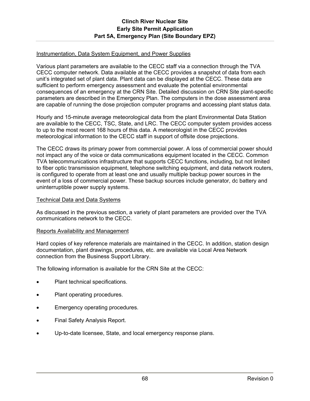### Instrumentation, Data System Equipment, and Power Supplies

Various plant parameters are available to the CECC staff via a connection through the TVA CECC computer network. Data available at the CECC provides a snapshot of data from each unit's integrated set of plant data. Plant data can be displayed at the CECC. These data are sufficient to perform emergency assessment and evaluate the potential environmental consequences of an emergency at the CRN Site. Detailed discussion on CRN Site plant-specific parameters are described in the Emergency Plan. The computers in the dose assessment area are capable of running the dose projection computer programs and accessing plant status data.

Hourly and 15-minute average meteorological data from the plant Environmental Data Station are available to the CECC, TSC, State, and LRC. The CECC computer system provides access to up to the most recent 168 hours of this data. A meteorologist in the CECC provides meteorological information to the CECC staff in support of offsite dose projections.

The CECC draws its primary power from commercial power. A loss of commercial power should not impact any of the voice or data communications equipment located in the CECC. Common TVA telecommunications infrastructure that supports CECC functions, including, but not limited to fiber optic transmission equipment, telephone switching equipment, and data network routers, is configured to operate from at least one and usually multiple backup power sources in the event of a loss of commercial power. These backup sources include generator, dc battery and uninterruptible power supply systems.

### Technical Data and Data Systems

As discussed in the previous section, a variety of plant parameters are provided over the TVA communications network to the CECC.

#### Reports Availability and Management

Hard copies of key reference materials are maintained in the CECC. In addition, station design documentation, plant drawings, procedures, etc. are available via Local Area Network connection from the Business Support Library.

The following information is available for the CRN Site at the CECC:

- Plant technical specifications.
- Plant operating procedures.
- Emergency operating procedures.
- Final Safety Analysis Report.
- Up-to-date licensee, State, and local emergency response plans.